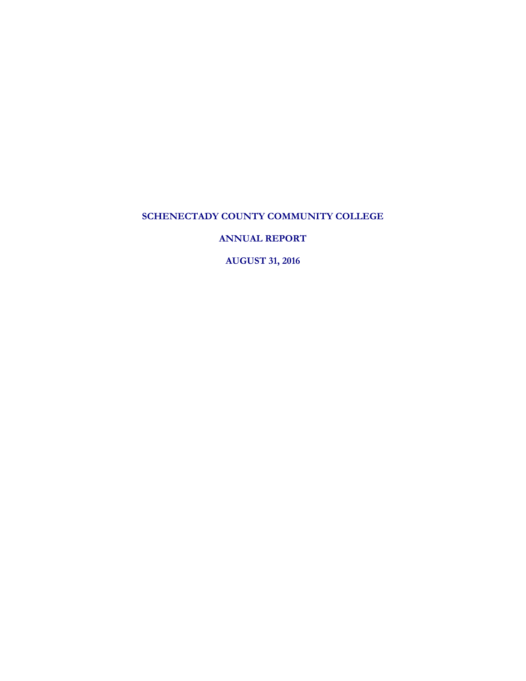**ANNUAL REPORT**

**AUGUST 31, 2016**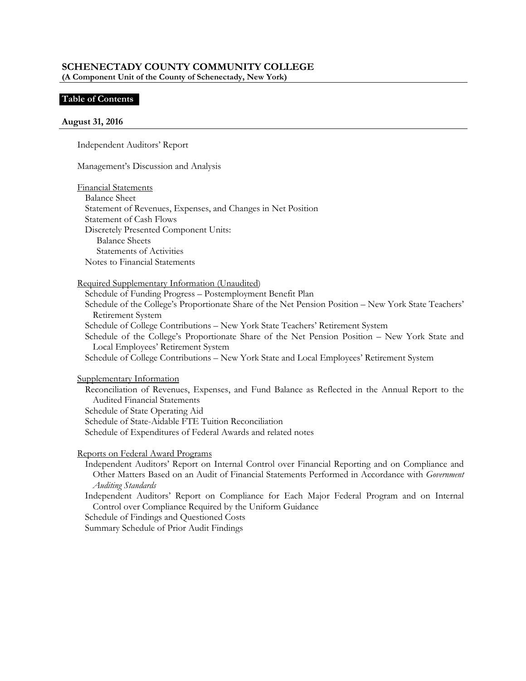#### **Table of Contents**

#### **August 31, 2016**

Independent Auditors' Report

Management's Discussion and Analysis

Financial Statements

Balance Sheet Statement of Revenues, Expenses, and Changes in Net Position Statement of Cash Flows Discretely Presented Component Units: Balance Sheets Statements of Activities Notes to Financial Statements

Required Supplementary Information (Unaudited)

Schedule of Funding Progress – Postemployment Benefit Plan Schedule of the College's Proportionate Share of the Net Pension Position – New York State Teachers' Retirement System Schedule of College Contributions – New York State Teachers' Retirement System Schedule of the College's Proportionate Share of the Net Pension Position – New York State and Local Employees' Retirement System Schedule of College Contributions – New York State and Local Employees' Retirement System

Supplementary Information

Reconciliation of Revenues, Expenses, and Fund Balance as Reflected in the Annual Report to the Audited Financial Statements Schedule of State Operating Aid Schedule of State-Aidable FTE Tuition Reconciliation Schedule of Expenditures of Federal Awards and related notes

Reports on Federal Award Programs

Independent Auditors' Report on Internal Control over Financial Reporting and on Compliance and Other Matters Based on an Audit of Financial Statements Performed in Accordance with *Government Auditing Standards*

Independent Auditors' Report on Compliance for Each Major Federal Program and on Internal Control over Compliance Required by the Uniform Guidance

Schedule of Findings and Questioned Costs

Summary Schedule of Prior Audit Findings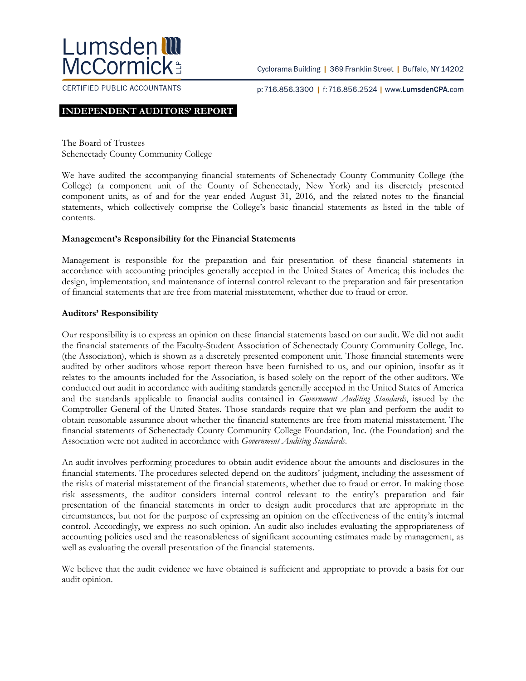

Cyclorama Building | 369 Franklin Street | Buffalo, NY 14202

CERTIFIED PUBLIC ACCOUNTANTS

p:716.856.3300 | f:716.856.2524 | www.LumsdenCPA.com

#### **INDEPENDENT AUDITORS' REPORT**

The Board of Trustees Schenectady County Community College

We have audited the accompanying financial statements of Schenectady County Community College (the College) (a component unit of the County of Schenectady, New York) and its discretely presented component units, as of and for the year ended August 31, 2016, and the related notes to the financial statements, which collectively comprise the College's basic financial statements as listed in the table of contents.

#### **Management's Responsibility for the Financial Statements**

Management is responsible for the preparation and fair presentation of these financial statements in accordance with accounting principles generally accepted in the United States of America; this includes the design, implementation, and maintenance of internal control relevant to the preparation and fair presentation of financial statements that are free from material misstatement, whether due to fraud or error.

#### **Auditors' Responsibility**

Our responsibility is to express an opinion on these financial statements based on our audit. We did not audit the financial statements of the Faculty-Student Association of Schenectady County Community College, Inc. (the Association), which is shown as a discretely presented component unit. Those financial statements were audited by other auditors whose report thereon have been furnished to us, and our opinion, insofar as it relates to the amounts included for the Association, is based solely on the report of the other auditors. We conducted our audit in accordance with auditing standards generally accepted in the United States of America and the standards applicable to financial audits contained in *Government Auditing Standards*, issued by the Comptroller General of the United States. Those standards require that we plan and perform the audit to obtain reasonable assurance about whether the financial statements are free from material misstatement. The financial statements of Schenectady County Community College Foundation, Inc. (the Foundation) and the Association were not audited in accordance with *Government Auditing Standards*.

An audit involves performing procedures to obtain audit evidence about the amounts and disclosures in the financial statements. The procedures selected depend on the auditors' judgment, including the assessment of the risks of material misstatement of the financial statements, whether due to fraud or error. In making those risk assessments, the auditor considers internal control relevant to the entity's preparation and fair presentation of the financial statements in order to design audit procedures that are appropriate in the circumstances, but not for the purpose of expressing an opinion on the effectiveness of the entity's internal control. Accordingly, we express no such opinion. An audit also includes evaluating the appropriateness of accounting policies used and the reasonableness of significant accounting estimates made by management, as well as evaluating the overall presentation of the financial statements.

We believe that the audit evidence we have obtained is sufficient and appropriate to provide a basis for our audit opinion.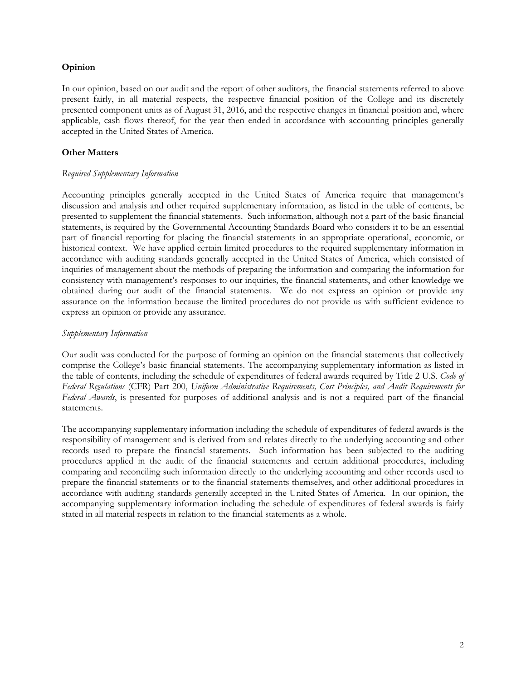## **Opinion**

In our opinion, based on our audit and the report of other auditors, the financial statements referred to above present fairly, in all material respects, the respective financial position of the College and its discretely presented component units as of August 31, 2016, and the respective changes in financial position and, where applicable, cash flows thereof, for the year then ended in accordance with accounting principles generally accepted in the United States of America.

## **Other Matters**

#### *Required Supplementary Information*

Accounting principles generally accepted in the United States of America require that management's discussion and analysis and other required supplementary information, as listed in the table of contents, be presented to supplement the financial statements. Such information, although not a part of the basic financial statements, is required by the Governmental Accounting Standards Board who considers it to be an essential part of financial reporting for placing the financial statements in an appropriate operational, economic, or historical context. We have applied certain limited procedures to the required supplementary information in accordance with auditing standards generally accepted in the United States of America, which consisted of inquiries of management about the methods of preparing the information and comparing the information for consistency with management's responses to our inquiries, the financial statements, and other knowledge we obtained during our audit of the financial statements. We do not express an opinion or provide any assurance on the information because the limited procedures do not provide us with sufficient evidence to express an opinion or provide any assurance.

#### *Supplementary Information*

Our audit was conducted for the purpose of forming an opinion on the financial statements that collectively comprise the College's basic financial statements. The accompanying supplementary information as listed in the table of contents, including the schedule of expenditures of federal awards required by Title 2 U.S. *Code of Federal Regulations* (CFR) Part 200, *Uniform Administrative Requirements, Cost Principles, and Audit Requirements for Federal Awards*, is presented for purposes of additional analysis and is not a required part of the financial statements.

The accompanying supplementary information including the schedule of expenditures of federal awards is the responsibility of management and is derived from and relates directly to the underlying accounting and other records used to prepare the financial statements. Such information has been subjected to the auditing procedures applied in the audit of the financial statements and certain additional procedures, including comparing and reconciling such information directly to the underlying accounting and other records used to prepare the financial statements or to the financial statements themselves, and other additional procedures in accordance with auditing standards generally accepted in the United States of America. In our opinion, the accompanying supplementary information including the schedule of expenditures of federal awards is fairly stated in all material respects in relation to the financial statements as a whole.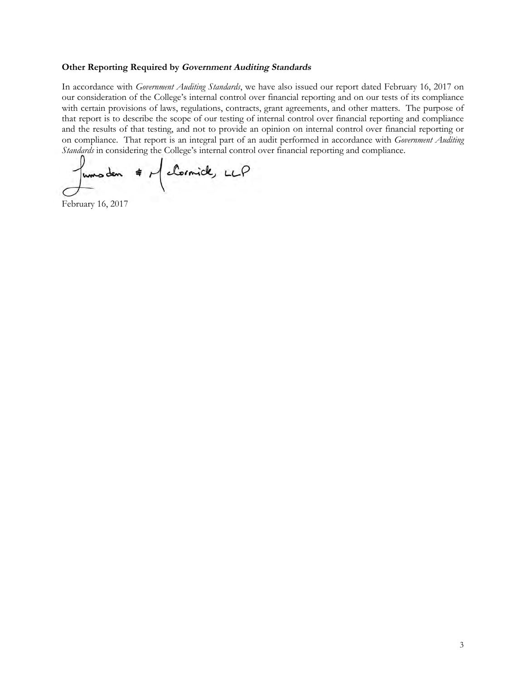#### **Other Reporting Required by Government Auditing Standards**

In accordance with *Government Auditing Standards*, we have also issued our report dated February 16, 2017 on our consideration of the College's internal control over financial reporting and on our tests of its compliance with certain provisions of laws, regulations, contracts, grant agreements, and other matters. The purpose of that report is to describe the scope of our testing of internal control over financial reporting and compliance and the results of that testing, and not to provide an opinion on internal control over financial reporting or on compliance. That report is an integral part of an audit performed in accordance with *Government Auditing Standards* in considering the College's internal control over financial reporting and compliance.

Juns den # McCornick, LLP

February 16, 2017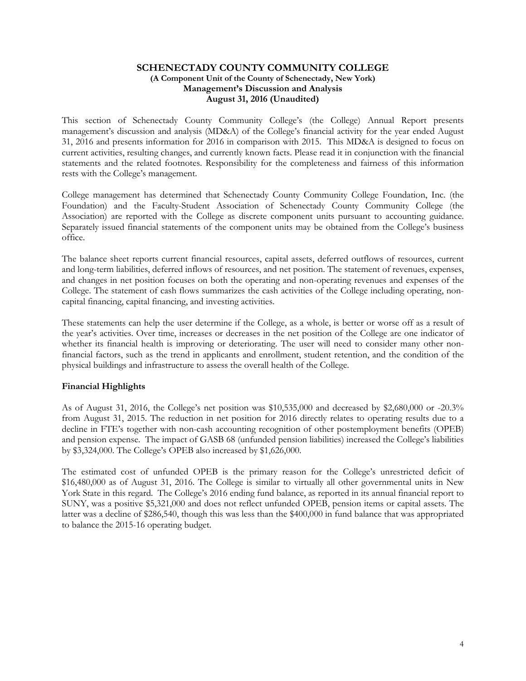#### **SCHENECTADY COUNTY COMMUNITY COLLEGE (A Component Unit of the County of Schenectady, New York) Management's Discussion and Analysis August 31, 2016 (Unaudited)**

This section of Schenectady County Community College's (the College) Annual Report presents management's discussion and analysis (MD&A) of the College's financial activity for the year ended August 31, 2016 and presents information for 2016 in comparison with 2015. This MD&A is designed to focus on current activities, resulting changes, and currently known facts. Please read it in conjunction with the financial statements and the related footnotes. Responsibility for the completeness and fairness of this information rests with the College's management.

College management has determined that Schenectady County Community College Foundation, Inc. (the Foundation) and the Faculty-Student Association of Schenectady County Community College (the Association) are reported with the College as discrete component units pursuant to accounting guidance. Separately issued financial statements of the component units may be obtained from the College's business office.

The balance sheet reports current financial resources, capital assets, deferred outflows of resources, current and long-term liabilities, deferred inflows of resources, and net position. The statement of revenues, expenses, and changes in net position focuses on both the operating and non-operating revenues and expenses of the College. The statement of cash flows summarizes the cash activities of the College including operating, noncapital financing, capital financing, and investing activities.

These statements can help the user determine if the College, as a whole, is better or worse off as a result of the year's activities. Over time, increases or decreases in the net position of the College are one indicator of whether its financial health is improving or deteriorating. The user will need to consider many other nonfinancial factors, such as the trend in applicants and enrollment, student retention, and the condition of the physical buildings and infrastructure to assess the overall health of the College.

## **Financial Highlights**

As of August 31, 2016, the College's net position was \$10,535,000 and decreased by \$2,680,000 or -20.3% from August 31, 2015. The reduction in net position for 2016 directly relates to operating results due to a decline in FTE's together with non-cash accounting recognition of other postemployment benefits (OPEB) and pension expense. The impact of GASB 68 (unfunded pension liabilities) increased the College's liabilities by \$3,324,000. The College's OPEB also increased by \$1,626,000.

The estimated cost of unfunded OPEB is the primary reason for the College's unrestricted deficit of \$16,480,000 as of August 31, 2016. The College is similar to virtually all other governmental units in New York State in this regard. The College's 2016 ending fund balance, as reported in its annual financial report to SUNY, was a positive \$5,321,000 and does not reflect unfunded OPEB, pension items or capital assets. The latter was a decline of \$286,540, though this was less than the \$400,000 in fund balance that was appropriated to balance the 2015-16 operating budget.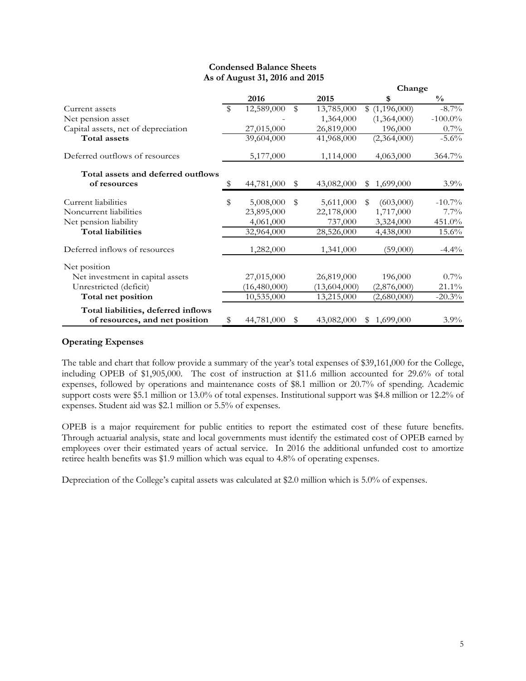|                                     |    |                |              |              | Change                     |               |
|-------------------------------------|----|----------------|--------------|--------------|----------------------------|---------------|
|                                     |    | 2016           |              | 2015         | \$                         | $\frac{0}{0}$ |
| Current assets                      | S  | 12,589,000     | $\mathbb{S}$ | 13,785,000   | \$(1,196,000)              | $-8.7\%$      |
| Net pension asset                   |    |                |              | 1,364,000    | (1,364,000)                | $-100.0\%$    |
| Capital assets, net of depreciation |    | 27,015,000     |              | 26,819,000   | 196,000                    | $0.7\%$       |
| <b>Total assets</b>                 |    | 39,604,000     |              | 41,968,000   | (2,364,000)                | $-5.6\%$      |
| Deferred outflows of resources      |    | 5,177,000      |              | 1,114,000    | 4,063,000                  | 364.7%        |
| Total assets and deferred outflows  |    |                |              |              |                            |               |
| of resources                        | S  | 44,781,000     | S            | 43,082,000   | 1,699,000<br>\$            | $3.9\%$       |
| Current liabilities                 | \$ | 5,008,000      | \$           | 5,611,000    | (603,000)<br>$\mathbf{\$}$ | $-10.7\%$     |
| Noncurrent liabilities              |    | 23,895,000     |              | 22,178,000   | 1,717,000                  | $7.7\%$       |
| Net pension liability               |    | 4,061,000      |              | 737,000      | 3,324,000                  | 451.0%        |
| <b>Total liabilities</b>            |    | 32,964,000     |              | 28,526,000   | 4,438,000                  | 15.6%         |
| Deferred inflows of resources       |    | 1,282,000      |              | 1,341,000    | (59,000)                   | $-4.4\%$      |
| Net position                        |    |                |              |              |                            |               |
| Net investment in capital assets    |    | 27,015,000     |              | 26,819,000   | 196,000                    | $0.7\%$       |
| Unrestricted (deficit)              |    | (16, 480, 000) |              | (13,604,000) | (2,876,000)                | $21.1\%$      |
| Total net position                  |    | 10,535,000     |              | 13,215,000   | (2,680,000)                | $-20.3%$      |
| Total liabilities, deferred inflows |    |                |              |              |                            |               |
| of resources, and net position      | \$ | 44,781,000     | S            | 43,082,000   | 1,699,000<br>S.            | $3.9\%$       |

## **Condensed Balance Sheets As of August 31, 2016 and 2015**

## **Operating Expenses**

The table and chart that follow provide a summary of the year's total expenses of \$39,161,000 for the College, including OPEB of \$1,905,000. The cost of instruction at \$11.6 million accounted for 29.6% of total expenses, followed by operations and maintenance costs of \$8.1 million or 20.7% of spending. Academic support costs were \$5.1 million or 13.0% of total expenses. Institutional support was \$4.8 million or 12.2% of expenses. Student aid was \$2.1 million or 5.5% of expenses.

OPEB is a major requirement for public entities to report the estimated cost of these future benefits. Through actuarial analysis, state and local governments must identify the estimated cost of OPEB earned by employees over their estimated years of actual service. In 2016 the additional unfunded cost to amortize retiree health benefits was \$1.9 million which was equal to 4.8% of operating expenses.

Depreciation of the College's capital assets was calculated at \$2.0 million which is 5.0% of expenses.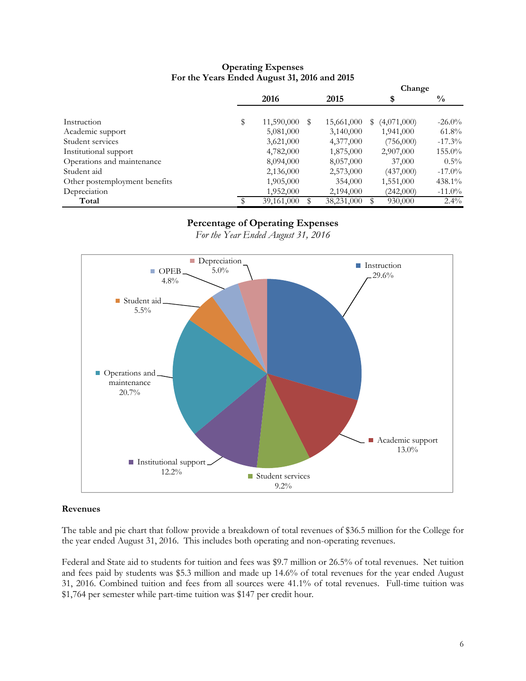#### **Operating Expenses For the Years Ended August 31, 2016 and 2015**

|                               |                  |   |            | Change            |               |
|-------------------------------|------------------|---|------------|-------------------|---------------|
|                               | 2016             |   | 2015       | \$                | $\frac{0}{0}$ |
| Instruction                   | \$<br>11,590,000 | S | 15,661,000 | (4,071,000)<br>\$ | $-26.0\%$     |
| Academic support              | 5,081,000        |   | 3,140,000  | 1,941,000         | $61.8\%$      |
| Student services              | 3,621,000        |   | 4,377,000  | (756,000)         | $-17.3\%$     |
| Institutional support         | 4,782,000        |   | 1,875,000  | 2,907,000         | $155.0\%$     |
| Operations and maintenance    | 8,094,000        |   | 8,057,000  | 37,000            | $0.5\%$       |
| Student aid                   | 2,136,000        |   | 2,573,000  | (437,000)         | $-17.0\%$     |
| Other postemployment benefits | 1,905,000        |   | 354,000    | 1,551,000         | 438.1%        |
| Depreciation                  | 1,952,000        |   | 2,194,000  | (242,000)         | $-11.0\%$     |
| Total                         | 39,161,000       |   | 38,231,000 | ٩<br>930,000      | $2.4\%$       |

# **Percentage of Operating Expenses**

*For the Year Ended August 31, 2016*



#### **Revenues**

The table and pie chart that follow provide a breakdown of total revenues of \$36.5 million for the College for the year ended August 31, 2016. This includes both operating and non-operating revenues.

Federal and State aid to students for tuition and fees was \$9.7 million or 26.5% of total revenues. Net tuition and fees paid by students was \$5.3 million and made up 14.6% of total revenues for the year ended August 31, 2016. Combined tuition and fees from all sources were 41.1% of total revenues. Full-time tuition was \$1,764 per semester while part-time tuition was \$147 per credit hour.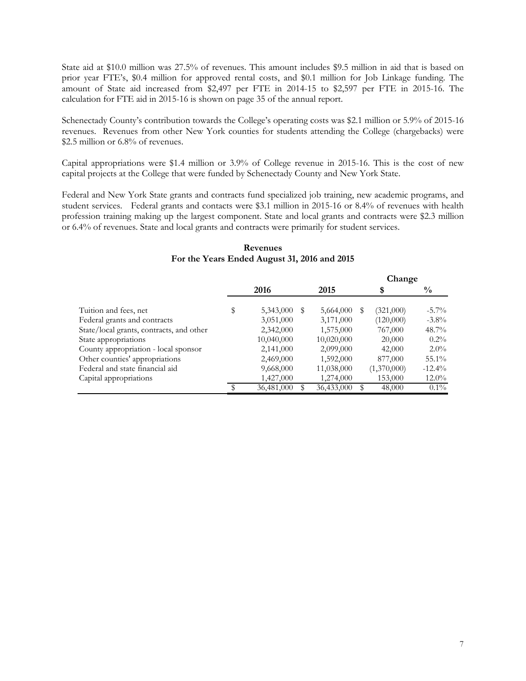State aid at \$10.0 million was 27.5% of revenues. This amount includes \$9.5 million in aid that is based on prior year FTE's, \$0.4 million for approved rental costs, and \$0.1 million for Job Linkage funding. The amount of State aid increased from \$2,497 per FTE in 2014-15 to \$2,597 per FTE in 2015-16. The calculation for FTE aid in 2015-16 is shown on page 35 of the annual report.

Schenectady County's contribution towards the College's operating costs was \$2.1 million or 5.9% of 2015-16 revenues. Revenues from other New York counties for students attending the College (chargebacks) were \$2.5 million or 6.8% of revenues.

Capital appropriations were \$1.4 million or 3.9% of College revenue in 2015-16. This is the cost of new capital projects at the College that were funded by Schenectady County and New York State.

Federal and New York State grants and contracts fund specialized job training, new academic programs, and student services. Federal grants and contacts were \$3.1 million in 2015-16 or 8.4% of revenues with health profession training making up the largest component. State and local grants and contracts were \$2.3 million or 6.4% of revenues. State and local grants and contracts were primarily for student services.

|                                          |                 |   |            |   | Change      |               |
|------------------------------------------|-----------------|---|------------|---|-------------|---------------|
|                                          | 2016            |   | 2015       |   | \$          | $\frac{0}{0}$ |
| Tuition and fees, net                    | \$<br>5,343,000 | S | 5,664,000  | S | (321,000)   | $-5.7\%$      |
| Federal grants and contracts             | 3,051,000       |   | 3,171,000  |   | (120,000)   | $-3.8\%$      |
| State/local grants, contracts, and other | 2,342,000       |   | 1,575,000  |   | 767,000     | $48.7\%$      |
| State appropriations                     | 10,040,000      |   | 10,020,000 |   | 20,000      | $0.2\%$       |
| County appropriation - local sponsor     | 2,141,000       |   | 2,099,000  |   | 42,000      | $2.0\%$       |
| Other counties' appropriations           | 2,469,000       |   | 1,592,000  |   | 877,000     | 55.1%         |
| Federal and state financial aid          | 9,668,000       |   | 11,038,000 |   | (1,370,000) | $-12.4\%$     |
| Capital appropriations                   | 1,427,000       |   | 1,274,000  |   | 153,000     | $12.0\%$      |
|                                          | 36,481,000      |   | 36,433,000 |   | 48,000      | $0.1\%$       |

## **Revenues For the Years Ended August 31, 2016 and 2015**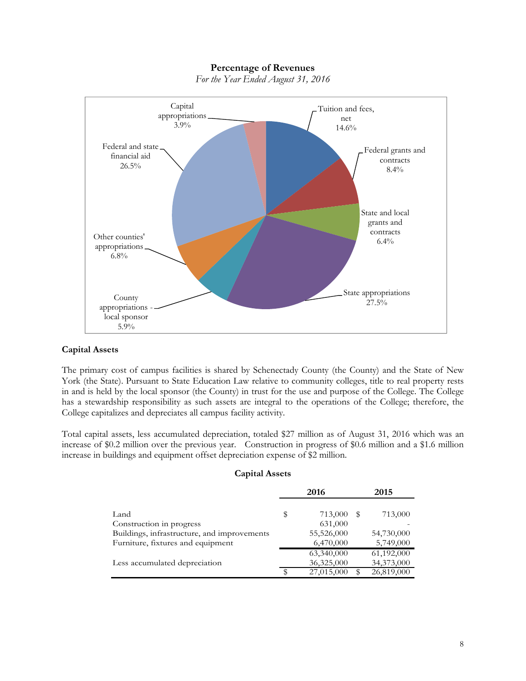## **Percentage of Revenues**



*For the Year Ended August 31, 2016*

#### **Capital Assets**

The primary cost of campus facilities is shared by Schenectady County (the County) and the State of New York (the State). Pursuant to State Education Law relative to community colleges, title to real property rests in and is held by the local sponsor (the County) in trust for the use and purpose of the College. The College has a stewardship responsibility as such assets are integral to the operations of the College; therefore, the College capitalizes and depreciates all campus facility activity.

Total capital assets, less accumulated depreciation, totaled \$27 million as of August 31, 2016 which was an increase of \$0.2 million over the previous year. Construction in progress of \$0.6 million and a \$1.6 million increase in buildings and equipment offset depreciation expense of \$2 million.

#### **Capital Assets**

|                                             | 2016 |            | 2015 |            |
|---------------------------------------------|------|------------|------|------------|
|                                             |      |            |      |            |
| Land                                        | \$   | 713,000    | S    | 713,000    |
| Construction in progress                    |      | 631,000    |      |            |
| Buildings, infrastructure, and improvements |      | 55,526,000 |      | 54,730,000 |
| Furniture, fixtures and equipment           |      | 6,470,000  |      | 5,749,000  |
|                                             |      | 63,340,000 |      | 61,192,000 |
| Less accumulated depreciation               |      | 36,325,000 |      | 34,373,000 |
|                                             |      | 27,015,000 |      | 26,819,000 |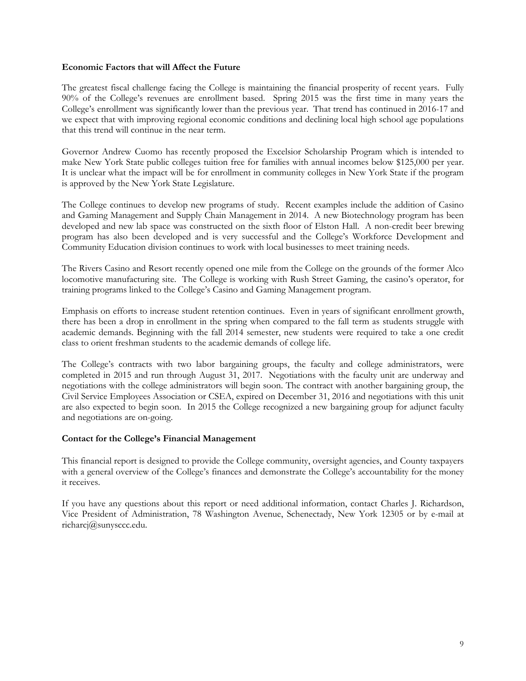#### **Economic Factors that will Affect the Future**

The greatest fiscal challenge facing the College is maintaining the financial prosperity of recent years. Fully 90% of the College's revenues are enrollment based. Spring 2015 was the first time in many years the College's enrollment was significantly lower than the previous year. That trend has continued in 2016-17 and we expect that with improving regional economic conditions and declining local high school age populations that this trend will continue in the near term.

Governor Andrew Cuomo has recently proposed the Excelsior Scholarship Program which is intended to make New York State public colleges tuition free for families with annual incomes below \$125,000 per year. It is unclear what the impact will be for enrollment in community colleges in New York State if the program is approved by the New York State Legislature.

The College continues to develop new programs of study. Recent examples include the addition of Casino and Gaming Management and Supply Chain Management in 2014. A new Biotechnology program has been developed and new lab space was constructed on the sixth floor of Elston Hall. A non-credit beer brewing program has also been developed and is very successful and the College's Workforce Development and Community Education division continues to work with local businesses to meet training needs.

The Rivers Casino and Resort recently opened one mile from the College on the grounds of the former Alco locomotive manufacturing site. The College is working with Rush Street Gaming, the casino's operator, for training programs linked to the College's Casino and Gaming Management program.

Emphasis on efforts to increase student retention continues. Even in years of significant enrollment growth, there has been a drop in enrollment in the spring when compared to the fall term as students struggle with academic demands. Beginning with the fall 2014 semester, new students were required to take a one credit class to orient freshman students to the academic demands of college life.

The College's contracts with two labor bargaining groups, the faculty and college administrators, were completed in 2015 and run through August 31, 2017. Negotiations with the faculty unit are underway and negotiations with the college administrators will begin soon. The contract with another bargaining group, the Civil Service Employees Association or CSEA, expired on December 31, 2016 and negotiations with this unit are also expected to begin soon. In 2015 the College recognized a new bargaining group for adjunct faculty and negotiations are on-going.

## **Contact for the College's Financial Management**

This financial report is designed to provide the College community, oversight agencies, and County taxpayers with a general overview of the College's finances and demonstrate the College's accountability for the money it receives.

If you have any questions about this report or need additional information, contact Charles J. Richardson, Vice President of Administration, 78 Washington Avenue, Schenectady, New York 12305 or by e-mail at richarcj@sunysccc.edu.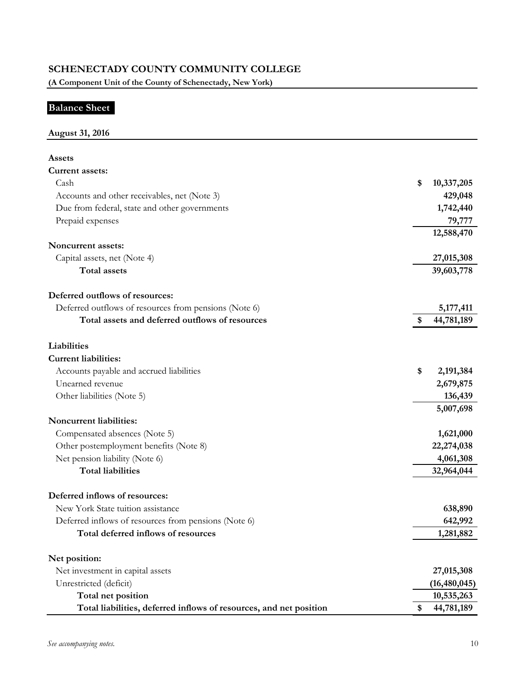# **Balance Sheet**

# **August 31, 2016**

| Assets                                                             |    |                |
|--------------------------------------------------------------------|----|----------------|
| Current assets:                                                    |    |                |
| Cash                                                               | \$ | 10,337,205     |
| Accounts and other receivables, net (Note 3)                       |    | 429,048        |
| Due from federal, state and other governments                      |    | 1,742,440      |
| Prepaid expenses                                                   |    | 79,777         |
|                                                                    |    | 12,588,470     |
| Noncurrent assets:                                                 |    |                |
| Capital assets, net (Note 4)                                       |    | 27,015,308     |
| <b>Total assets</b>                                                |    | 39,603,778     |
| Deferred outflows of resources:                                    |    |                |
| Deferred outflows of resources from pensions (Note 6)              |    | 5,177,411      |
| Total assets and deferred outflows of resources                    | S  | 44,781,189     |
| Liabilities                                                        |    |                |
| <b>Current liabilities:</b>                                        |    |                |
| Accounts payable and accrued liabilities                           | \$ | 2,191,384      |
| Unearned revenue                                                   |    | 2,679,875      |
| Other liabilities (Note 5)                                         |    | 136,439        |
|                                                                    |    | 5,007,698      |
| Noncurrent liabilities:                                            |    |                |
| Compensated absences (Note 5)                                      |    | 1,621,000      |
| Other postemployment benefits (Note 8)                             |    | 22,274,038     |
| Net pension liability (Note 6)                                     |    | 4,061,308      |
| <b>Total liabilities</b>                                           |    | 32,964,044     |
|                                                                    |    |                |
| Deferred inflows of resources:                                     |    |                |
| New York State tuition assistance                                  |    | 638,890        |
| Deferred inflows of resources from pensions (Note 6)               |    | 642,992        |
| Total deferred inflows of resources                                |    | 1,281,882      |
| Net position:                                                      |    |                |
| Net investment in capital assets                                   |    | 27,015,308     |
| Unrestricted (deficit)                                             |    | (16, 480, 045) |
| Total net position                                                 |    | 10,535,263     |
| Total liabilities, deferred inflows of resources, and net position |    | 44,781,189     |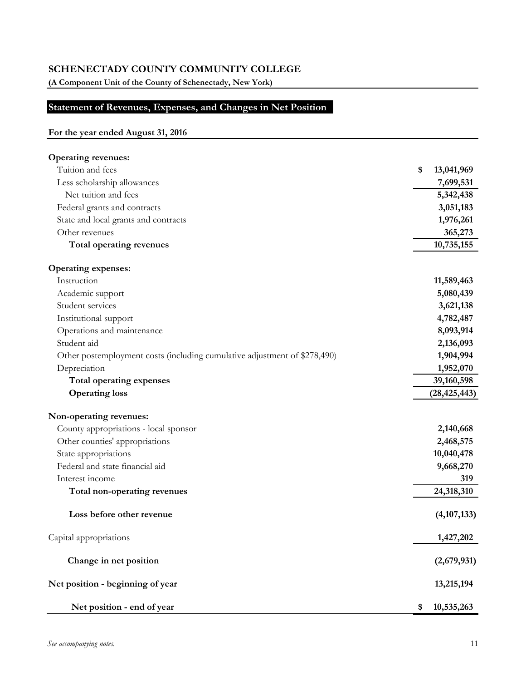**(A Component Unit of the County of Schenectady, New York)**

# **Statement of Revenues, Expenses, and Changes in Net Position**

# **For the year ended August 31, 2016**

| <b>Operating revenues:</b>                                                |                  |
|---------------------------------------------------------------------------|------------------|
| Tuition and fees                                                          | \$<br>13,041,969 |
| Less scholarship allowances                                               | 7,699,531        |
| Net tuition and fees                                                      | 5,342,438        |
| Federal grants and contracts                                              | 3,051,183        |
| State and local grants and contracts                                      | 1,976,261        |
| Other revenues                                                            | 365,273          |
| Total operating revenues                                                  | 10,735,155       |
| <b>Operating expenses:</b>                                                |                  |
| Instruction                                                               | 11,589,463       |
| Academic support                                                          | 5,080,439        |
| Student services                                                          | 3,621,138        |
| Institutional support                                                     | 4,782,487        |
| Operations and maintenance                                                | 8,093,914        |
| Student aid                                                               | 2,136,093        |
| Other postemployment costs (including cumulative adjustment of \$278,490) | 1,904,994        |
| Depreciation                                                              | 1,952,070        |
| Total operating expenses                                                  | 39,160,598       |
| <b>Operating loss</b>                                                     | (28, 425, 443)   |
| Non-operating revenues:                                                   |                  |
| County appropriations - local sponsor                                     | 2,140,668        |
| Other counties' appropriations                                            | 2,468,575        |
| State appropriations                                                      | 10,040,478       |
| Federal and state financial aid                                           | 9,668,270        |
| Interest income                                                           | 319              |
| Total non-operating revenues                                              | 24,318,310       |
| Loss before other revenue                                                 | (4, 107, 133)    |
| Capital appropriations                                                    | 1,427,202        |
| Change in net position                                                    | (2,679,931)      |
| Net position - beginning of year                                          | 13,215,194       |
| Net position - end of year                                                | \$<br>10,535,263 |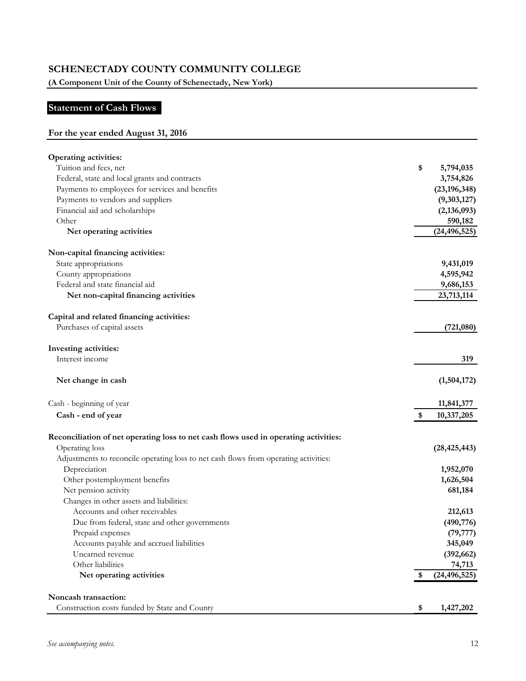**(A Component Unit of the County of Schenectady, New York)**

# **Statement of Cash Flows**

# **For the year ended August 31, 2016**

| <b>Operating activities:</b>                                                         |                      |
|--------------------------------------------------------------------------------------|----------------------|
| Tuition and fees, net                                                                | \$<br>5,794,035      |
| Federal, state and local grants and contracts                                        | 3,754,826            |
| Payments to employees for services and benefits                                      | (23, 196, 348)       |
| Payments to vendors and suppliers                                                    | (9,303,127)          |
| Financial aid and scholarships                                                       | (2, 136, 093)        |
| Other                                                                                | 590,182              |
| Net operating activities                                                             | (24, 496, 525)       |
| Non-capital financing activities:                                                    |                      |
| State appropriations                                                                 | 9,431,019            |
| County appropriations                                                                | 4,595,942            |
| Federal and state financial aid                                                      | 9,686,153            |
| Net non-capital financing activities                                                 | 23,713,114           |
| Capital and related financing activities:                                            |                      |
| Purchases of capital assets                                                          | (721,080)            |
| Investing activities:                                                                |                      |
| Interest income                                                                      | 319                  |
| Net change in cash                                                                   | (1,504,172)          |
| Cash - beginning of year                                                             | 11,841,377           |
| Cash - end of year                                                                   | \$<br>10,337,205     |
| Reconciliation of net operating loss to net cash flows used in operating activities: |                      |
| Operating loss                                                                       | (28, 425, 443)       |
| Adjustments to reconcile operating loss to net cash flows from operating activities: |                      |
| Depreciation                                                                         | 1,952,070            |
| Other postemployment benefits                                                        | 1,626,504            |
| Net pension activity                                                                 | 681,184              |
| Changes in other assets and liabilities:                                             |                      |
| Accounts and other receivables                                                       | 212,613              |
| Due from federal, state and other governments                                        | (490, 776)           |
| Prepaid expenses                                                                     | (79, 777)            |
| Accounts payable and accrued liabilities                                             | 345,049              |
| Unearned revenue                                                                     | (392, 662)           |
| Other liabilities                                                                    | 74,713               |
| Net operating activities                                                             | \$<br>(24, 496, 525) |
| Noncash transaction:                                                                 |                      |
| Construction costs funded by State and County                                        | \$<br>1,427,202      |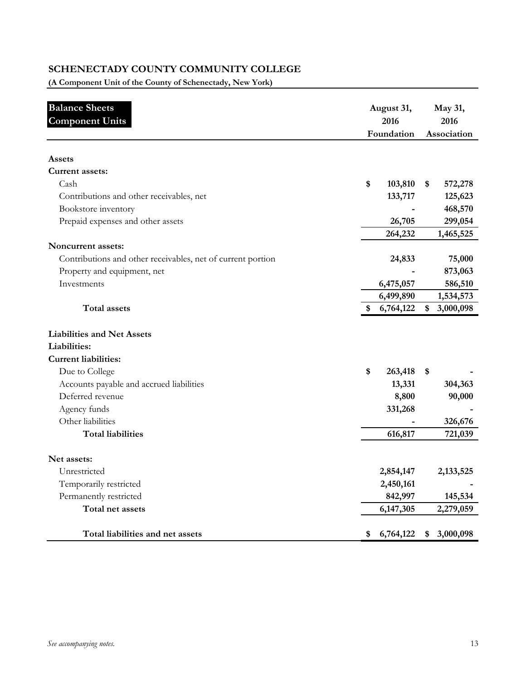**(A Component Unit of the County of Schenectady, New York)**

| <b>Balance Sheets</b><br><b>Component Units</b>             | August 31,<br>2016<br>Foundation |    | May 31,<br>2016<br>Association |  |
|-------------------------------------------------------------|----------------------------------|----|--------------------------------|--|
| Assets                                                      |                                  |    |                                |  |
| <b>Current assets:</b>                                      |                                  |    |                                |  |
| Cash                                                        | \$<br>103,810                    | \$ | 572,278                        |  |
| Contributions and other receivables, net                    | 133,717                          |    | 125,623                        |  |
| Bookstore inventory                                         |                                  |    | 468,570                        |  |
| Prepaid expenses and other assets                           | 26,705                           |    | 299,054                        |  |
|                                                             | 264,232                          |    | 1,465,525                      |  |
| Noncurrent assets:                                          |                                  |    |                                |  |
| Contributions and other receivables, net of current portion | 24,833                           |    | 75,000                         |  |
| Property and equipment, net                                 |                                  |    | 873,063                        |  |
| Investments                                                 | 6,475,057                        |    | 586,510                        |  |
|                                                             | 6,499,890                        |    | 1,534,573                      |  |
| <b>Total assets</b>                                         | \$<br>6,764,122                  | \$ | 3,000,098                      |  |
| <b>Liabilities and Net Assets</b>                           |                                  |    |                                |  |
| Liabilities:                                                |                                  |    |                                |  |
| <b>Current liabilities:</b>                                 |                                  |    |                                |  |
| Due to College                                              | \$<br>263,418                    | \$ |                                |  |
| Accounts payable and accrued liabilities                    | 13,331                           |    | 304,363                        |  |
| Deferred revenue                                            | 8,800                            |    | 90,000                         |  |
| Agency funds                                                | 331,268                          |    |                                |  |
| Other liabilities                                           |                                  |    | 326,676                        |  |
| <b>Total liabilities</b>                                    | 616,817                          |    | 721,039                        |  |
| Net assets:                                                 |                                  |    |                                |  |
| Unrestricted                                                | 2,854,147                        |    | 2,133,525                      |  |
| Temporarily restricted                                      | 2,450,161                        |    |                                |  |
| Permanently restricted                                      | 842,997                          |    | 145,534                        |  |
| Total net assets                                            | 6,147,305                        |    | 2,279,059                      |  |
| Total liabilities and net assets                            | \$<br>6,764,122                  | \$ | 3,000,098                      |  |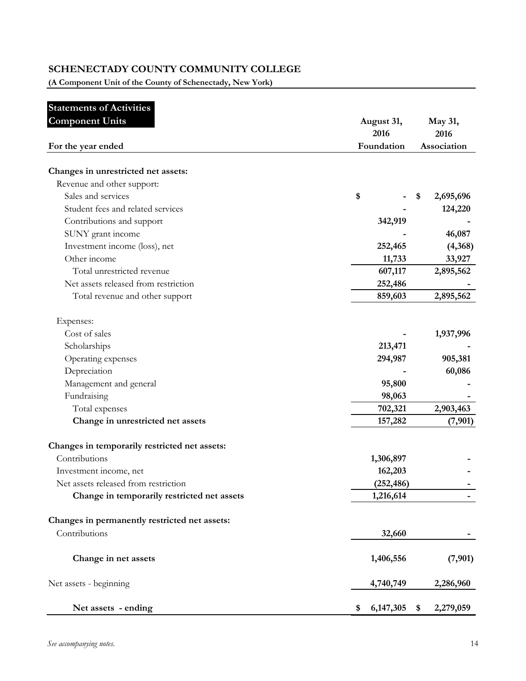**(A Component Unit of the County of Schenectady, New York)**

| <b>Statements of Activities</b> |
|---------------------------------|
|                                 |

| <b>Component Units</b>                        | August 31,<br>2016 | May 31,<br>2016 |  |
|-----------------------------------------------|--------------------|-----------------|--|
| For the year ended                            | Foundation         |                 |  |
| Changes in unrestricted net assets:           |                    |                 |  |
| Revenue and other support:                    |                    |                 |  |
| Sales and services                            | \$                 | 2,695,696<br>\$ |  |
| Student fees and related services             |                    | 124,220         |  |
| Contributions and support                     | 342,919            |                 |  |
| SUNY grant income                             |                    | 46,087          |  |
| Investment income (loss), net                 | 252,465            | (4,368)         |  |
| Other income                                  | 11,733             | 33,927          |  |
| Total unrestricted revenue                    | 607,117            | 2,895,562       |  |
| Net assets released from restriction          | 252,486            |                 |  |
| Total revenue and other support               | 859,603            | 2,895,562       |  |
| Expenses:                                     |                    |                 |  |
| Cost of sales                                 |                    | 1,937,996       |  |
| Scholarships                                  | 213,471            |                 |  |
| Operating expenses                            | 294,987            | 905,381         |  |
| Depreciation                                  |                    | 60,086          |  |
| Management and general                        | 95,800             |                 |  |
| Fundraising                                   | 98,063             |                 |  |
| Total expenses                                | 702,321            | 2,903,463       |  |
| Change in unrestricted net assets             | 157,282            | (7, 901)        |  |
| Changes in temporarily restricted net assets: |                    |                 |  |
| Contributions                                 | 1,306,897          |                 |  |
| Investment income, net                        | 162,203            |                 |  |
| Net assets released from restriction          | (252, 486)         |                 |  |
| Change in temporarily restricted net assets   | 1,216,614          |                 |  |
| Changes in permanently restricted net assets: |                    |                 |  |
| Contributions                                 | 32,660             |                 |  |
| Change in net assets                          | 1,406,556          | (7,901)         |  |
| Net assets - beginning                        | 4,740,749          | 2,286,960       |  |
| Net assets - ending                           | 6, 147, 305<br>\$  | 2,279,059<br>\$ |  |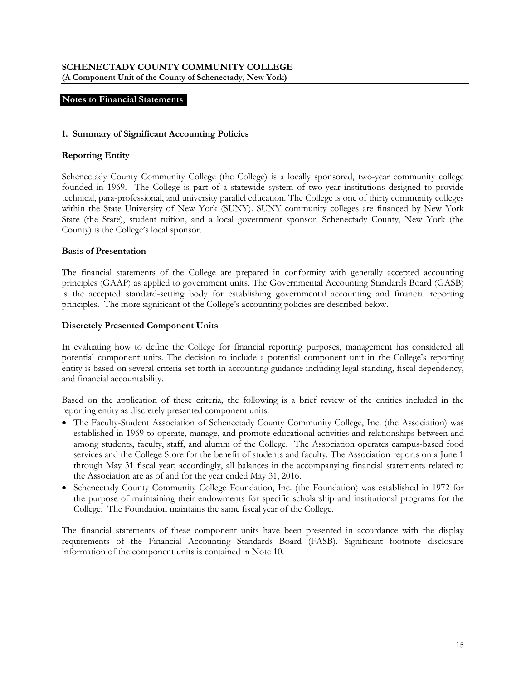#### **Notes to Financial Statements**

#### **1. Summary of Significant Accounting Policies**

#### **Reporting Entity**

Schenectady County Community College (the College) is a locally sponsored, two-year community college founded in 1969. The College is part of a statewide system of two-year institutions designed to provide technical, para-professional, and university parallel education. The College is one of thirty community colleges within the State University of New York (SUNY). SUNY community colleges are financed by New York State (the State), student tuition, and a local government sponsor. Schenectady County, New York (the County) is the College's local sponsor.

#### **Basis of Presentation**

The financial statements of the College are prepared in conformity with generally accepted accounting principles (GAAP) as applied to government units. The Governmental Accounting Standards Board (GASB) is the accepted standard-setting body for establishing governmental accounting and financial reporting principles. The more significant of the College's accounting policies are described below.

#### **Discretely Presented Component Units**

In evaluating how to define the College for financial reporting purposes, management has considered all potential component units. The decision to include a potential component unit in the College's reporting entity is based on several criteria set forth in accounting guidance including legal standing, fiscal dependency, and financial accountability.

Based on the application of these criteria, the following is a brief review of the entities included in the reporting entity as discretely presented component units:

- The Faculty-Student Association of Schenectady County Community College, Inc. (the Association) was established in 1969 to operate, manage, and promote educational activities and relationships between and among students, faculty, staff, and alumni of the College. The Association operates campus-based food services and the College Store for the benefit of students and faculty. The Association reports on a June 1 through May 31 fiscal year; accordingly, all balances in the accompanying financial statements related to the Association are as of and for the year ended May 31, 2016.
- Schenectady County Community College Foundation, Inc. (the Foundation) was established in 1972 for the purpose of maintaining their endowments for specific scholarship and institutional programs for the College. The Foundation maintains the same fiscal year of the College.

The financial statements of these component units have been presented in accordance with the display requirements of the Financial Accounting Standards Board (FASB). Significant footnote disclosure information of the component units is contained in Note 10.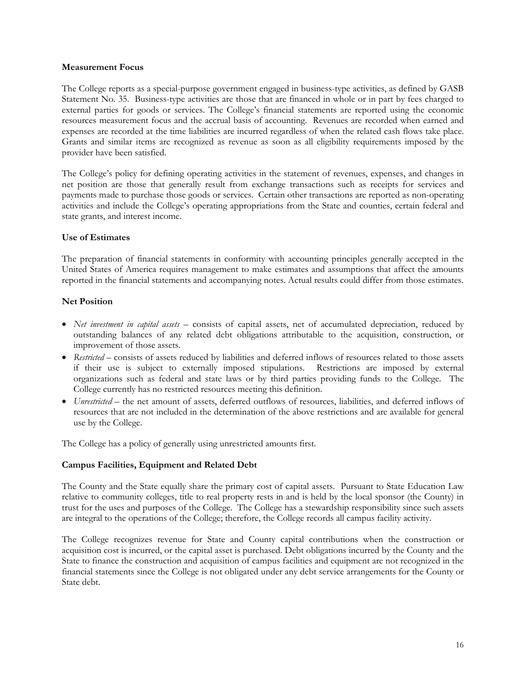#### **Measurement Focus**

The College reports as a special-purpose government engaged in business-type activities, as defined by GASB Statement No. 35. Business-type activities are those that are financed in whole or in part by fees charged to external parties for goods or services. The College's financial statements are reported using the economic resources measurement focus and the accrual basis of accounting. Revenues are recorded when earned and expenses are recorded at the time liabilities are incurred regardless of when the related cash flows take place. Grants and similar items are recognized as revenue as soon as all eligibility requirements imposed by the provider have been satisfied.

The College's policy for defining operating activities in the statement of revenues, expenses, and changes in net position are those that generally result from exchange transactions such as receipts for services and payments made to purchase those goods or services. Certain other transactions are reported as non-operating activities and include the College's operating appropriations from the State and counties, certain federal and state grants, and interest income.

## **Use of Estimates**

The preparation of financial statements in conformity with accounting principles generally accepted in the United States of America requires management to make estimates and assumptions that affect the amounts reported in the financial statements and accompanying notes. Actual results could differ from those estimates.

#### **Net Position**

- *Net investment in capital assets* consists of capital assets, net of accumulated depreciation, reduced by outstanding balances of any related debt obligations attributable to the acquisition, construction, or improvement of those assets.
- *Restricted*  consists of assets reduced by liabilities and deferred inflows of resources related to those assets if their use is subject to externally imposed stipulations. Restrictions are imposed by external organizations such as federal and state laws or by third parties providing funds to the College. The College currently has no restricted resources meeting this definition.
- *Unrestricted* the net amount of assets, deferred outflows of resources, liabilities, and deferred inflows of resources that are not included in the determination of the above restrictions and are available for general use by the College.

The College has a policy of generally using unrestricted amounts first.

## **Campus Facilities, Equipment and Related Debt**

The County and the State equally share the primary cost of capital assets. Pursuant to State Education Law relative to community colleges, title to real property rests in and is held by the local sponsor (the County) in trust for the uses and purposes of the College. The College has a stewardship responsibility since such assets are integral to the operations of the College; therefore, the College records all campus facility activity.

The College recognizes revenue for State and County capital contributions when the construction or acquisition cost is incurred, or the capital asset is purchased. Debt obligations incurred by the County and the State to finance the construction and acquisition of campus facilities and equipment are not recognized in the financial statements since the College is not obligated under any debt service arrangements for the County or State debt.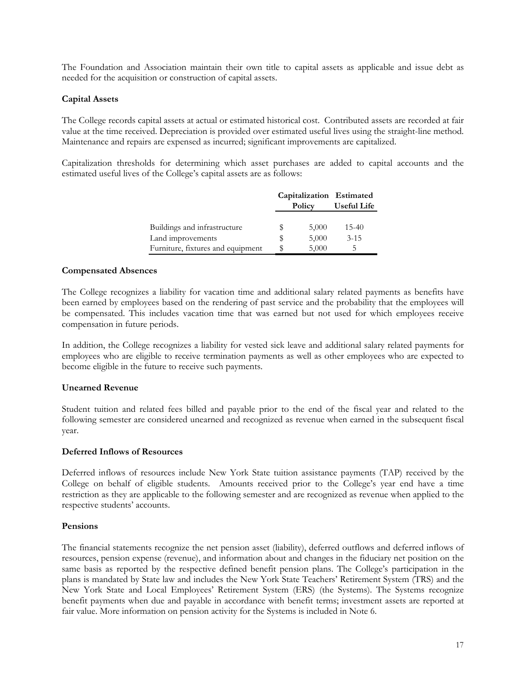The Foundation and Association maintain their own title to capital assets as applicable and issue debt as needed for the acquisition or construction of capital assets.

## **Capital Assets**

The College records capital assets at actual or estimated historical cost. Contributed assets are recorded at fair value at the time received. Depreciation is provided over estimated useful lives using the straight-line method. Maintenance and repairs are expensed as incurred; significant improvements are capitalized.

Capitalization thresholds for determining which asset purchases are added to capital accounts and the estimated useful lives of the College's capital assets are as follows:

|                                   |    |        | Capitalization Estimated |
|-----------------------------------|----|--------|--------------------------|
|                                   |    | Policy | Useful Life              |
|                                   |    |        |                          |
| Buildings and infrastructure      | S  | 5,000  | $15-40$                  |
| Land improvements                 | S  | 5,000  | $3 - 15$                 |
| Furniture, fixtures and equipment | \$ | 5,000  | 5                        |

#### **Compensated Absences**

The College recognizes a liability for vacation time and additional salary related payments as benefits have been earned by employees based on the rendering of past service and the probability that the employees will be compensated. This includes vacation time that was earned but not used for which employees receive compensation in future periods.

In addition, the College recognizes a liability for vested sick leave and additional salary related payments for employees who are eligible to receive termination payments as well as other employees who are expected to become eligible in the future to receive such payments.

## **Unearned Revenue**

Student tuition and related fees billed and payable prior to the end of the fiscal year and related to the following semester are considered unearned and recognized as revenue when earned in the subsequent fiscal year.

#### **Deferred Inflows of Resources**

Deferred inflows of resources include New York State tuition assistance payments (TAP) received by the College on behalf of eligible students. Amounts received prior to the College's year end have a time restriction as they are applicable to the following semester and are recognized as revenue when applied to the respective students' accounts.

#### **Pensions**

The financial statements recognize the net pension asset (liability), deferred outflows and deferred inflows of resources, pension expense (revenue), and information about and changes in the fiduciary net position on the same basis as reported by the respective defined benefit pension plans. The College's participation in the plans is mandated by State law and includes the New York State Teachers' Retirement System (TRS) and the New York State and Local Employees' Retirement System (ERS) (the Systems). The Systems recognize benefit payments when due and payable in accordance with benefit terms; investment assets are reported at fair value. More information on pension activity for the Systems is included in Note 6.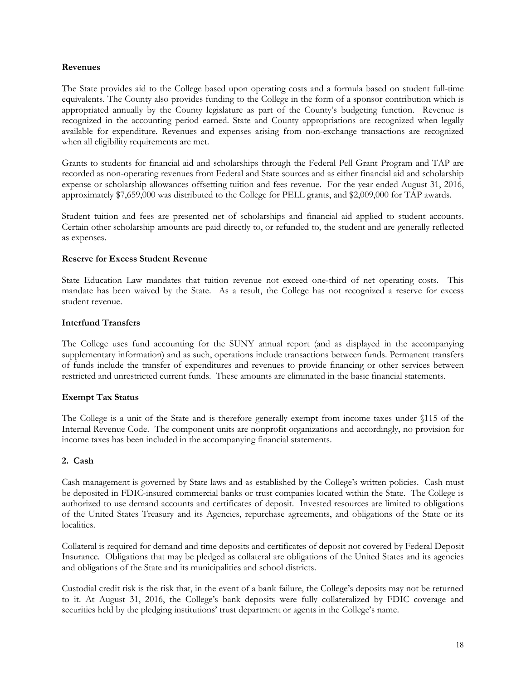#### **Revenues**

The State provides aid to the College based upon operating costs and a formula based on student full-time equivalents. The County also provides funding to the College in the form of a sponsor contribution which is appropriated annually by the County legislature as part of the County's budgeting function. Revenue is recognized in the accounting period earned. State and County appropriations are recognized when legally available for expenditure. Revenues and expenses arising from non-exchange transactions are recognized when all eligibility requirements are met.

Grants to students for financial aid and scholarships through the Federal Pell Grant Program and TAP are recorded as non-operating revenues from Federal and State sources and as either financial aid and scholarship expense or scholarship allowances offsetting tuition and fees revenue. For the year ended August 31, 2016, approximately \$7,659,000 was distributed to the College for PELL grants, and \$2,009,000 for TAP awards.

Student tuition and fees are presented net of scholarships and financial aid applied to student accounts. Certain other scholarship amounts are paid directly to, or refunded to, the student and are generally reflected as expenses.

#### **Reserve for Excess Student Revenue**

State Education Law mandates that tuition revenue not exceed one-third of net operating costs. This mandate has been waived by the State. As a result, the College has not recognized a reserve for excess student revenue.

#### **Interfund Transfers**

The College uses fund accounting for the SUNY annual report (and as displayed in the accompanying supplementary information) and as such, operations include transactions between funds. Permanent transfers of funds include the transfer of expenditures and revenues to provide financing or other services between restricted and unrestricted current funds. These amounts are eliminated in the basic financial statements.

## **Exempt Tax Status**

The College is a unit of the State and is therefore generally exempt from income taxes under §115 of the Internal Revenue Code. The component units are nonprofit organizations and accordingly, no provision for income taxes has been included in the accompanying financial statements.

#### **2. Cash**

Cash management is governed by State laws and as established by the College's written policies. Cash must be deposited in FDIC-insured commercial banks or trust companies located within the State. The College is authorized to use demand accounts and certificates of deposit. Invested resources are limited to obligations of the United States Treasury and its Agencies, repurchase agreements, and obligations of the State or its localities.

Collateral is required for demand and time deposits and certificates of deposit not covered by Federal Deposit Insurance. Obligations that may be pledged as collateral are obligations of the United States and its agencies and obligations of the State and its municipalities and school districts.

Custodial credit risk is the risk that, in the event of a bank failure, the College's deposits may not be returned to it. At August 31, 2016, the College's bank deposits were fully collateralized by FDIC coverage and securities held by the pledging institutions' trust department or agents in the College's name.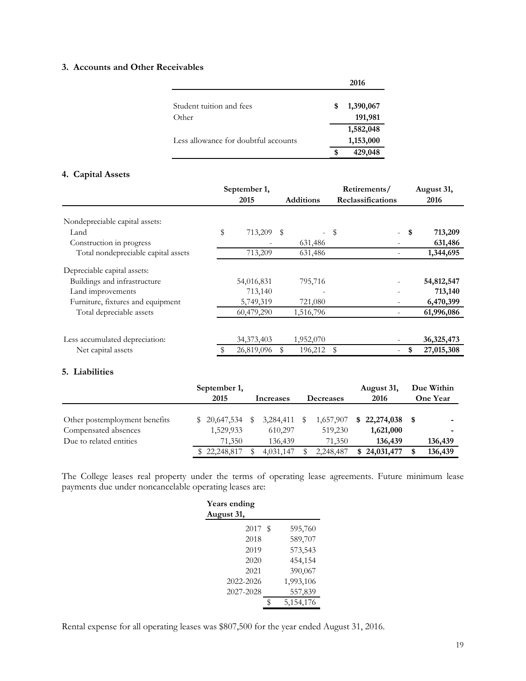# **3. Accounts and Other Receivables**

|                                      |   | 2016                 |
|--------------------------------------|---|----------------------|
| Student tuition and fees<br>Other    | S | 1,390,067<br>191,981 |
|                                      |   | 1,582,048            |
| Less allowance for doubtful accounts |   | 1,153,000            |
|                                      | S | 429,048              |

# **4. Capital Assets**

|                                     | September 1,     |                  | Retirements/                              |              | August 31,   |
|-------------------------------------|------------------|------------------|-------------------------------------------|--------------|--------------|
|                                     | 2015             | <b>Additions</b> | Reclassifications                         |              | 2016         |
| Nondepreciable capital assets:      |                  |                  |                                           |              |              |
| Land                                | \$<br>713,209 \$ |                  | $-$ \$                                    | \$<br>$\sim$ | 713,209      |
| Construction in progress            |                  | 631,486          | ۰                                         |              | 631,486      |
| Total nondepreciable capital assets | 713,209          | 631,486          |                                           |              | 1,344,695    |
| Depreciable capital assets:         |                  |                  |                                           |              |              |
| Buildings and infrastructure        | 54,016,831       | 795,716          |                                           |              | 54,812,547   |
| Land improvements                   | 713,140          |                  |                                           |              | 713,140      |
| Furniture, fixtures and equipment   | 5,749,319        | 721,080          | -                                         |              | 6,470,399    |
| Total depreciable assets            | 60,479,290       | 1,516,796        |                                           |              | 61,996,086   |
| Less accumulated depreciation:      | 34, 373, 403     | 1,952,070        |                                           |              | 36, 325, 473 |
| Net capital assets                  | 26,819,096       | 196,212          | <sup>\$</sup><br>$\overline{\phantom{0}}$ | \$           | 27,015,308   |
|                                     |                  |                  |                                           |              |              |

## **5. Liabilities**

|                               | September 1,<br>2015 |            | Increases |      | <b>Decreases</b> | August 31,<br>2016 | Due Within<br><b>One Year</b> |
|-------------------------------|----------------------|------------|-----------|------|------------------|--------------------|-------------------------------|
|                               |                      |            |           |      |                  |                    |                               |
| Other postemployment benefits | \$20,647,534         | $^{\circ}$ | 3,284,411 | - \$ | 1,657,907        | $$22,274,038$ \$   | -                             |
| Compensated absences          | 1,529,933            |            | 610,297   |      | 519,230          | 1,621,000          | ۰                             |
| Due to related entities       | 71.350               |            | 136,439   |      | 71,350           | 136,439            | 136,439                       |
|                               | \$22,248,817         |            | 4,031,147 |      | 2,248,487        | \$24,031,477       | 136,439                       |

The College leases real property under the terms of operating lease agreements. Future minimum lease payments due under noncancelable operating leases are:

| Years ending<br>August 31, |           |  |  |  |  |  |  |  |  |  |
|----------------------------|-----------|--|--|--|--|--|--|--|--|--|
|                            |           |  |  |  |  |  |  |  |  |  |
| 2017<br>S                  | 595,760   |  |  |  |  |  |  |  |  |  |
|                            | 589,707   |  |  |  |  |  |  |  |  |  |
|                            | 573,543   |  |  |  |  |  |  |  |  |  |
|                            | 454,154   |  |  |  |  |  |  |  |  |  |
|                            | 390,067   |  |  |  |  |  |  |  |  |  |
|                            | 1,993,106 |  |  |  |  |  |  |  |  |  |
|                            | 557,839   |  |  |  |  |  |  |  |  |  |
| ٩                          | 5,154,176 |  |  |  |  |  |  |  |  |  |
|                            |           |  |  |  |  |  |  |  |  |  |

Rental expense for all operating leases was \$807,500 for the year ended August 31, 2016.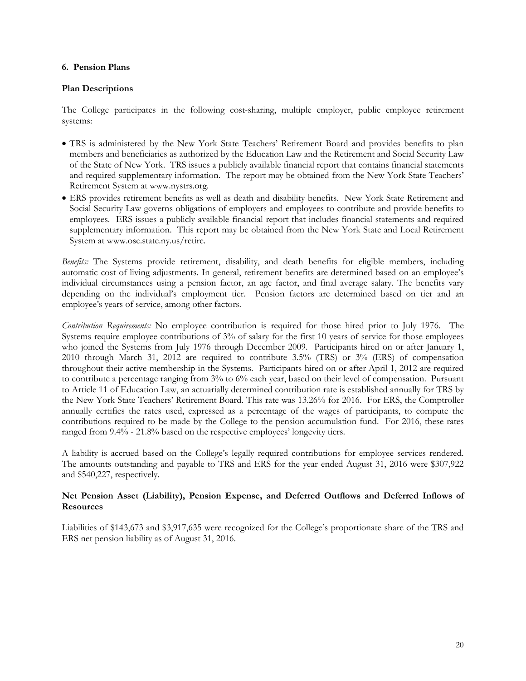#### **6. Pension Plans**

## **Plan Descriptions**

The College participates in the following cost-sharing, multiple employer, public employee retirement systems:

- TRS is administered by the New York State Teachers' Retirement Board and provides benefits to plan members and beneficiaries as authorized by the Education Law and the Retirement and Social Security Law of the State of New York. TRS issues a publicly available financial report that contains financial statements and required supplementary information. The report may be obtained from the New York State Teachers' Retirement System at www.nystrs.org.
- ERS provides retirement benefits as well as death and disability benefits. New York State Retirement and Social Security Law governs obligations of employers and employees to contribute and provide benefits to employees. ERS issues a publicly available financial report that includes financial statements and required supplementary information. This report may be obtained from the New York State and Local Retirement System at www.osc.state.ny.us/retire.

*Benefits:* The Systems provide retirement, disability, and death benefits for eligible members, including automatic cost of living adjustments. In general, retirement benefits are determined based on an employee's individual circumstances using a pension factor, an age factor, and final average salary. The benefits vary depending on the individual's employment tier. Pension factors are determined based on tier and an employee's years of service, among other factors.

*Contribution Requirements:* No employee contribution is required for those hired prior to July 1976. The Systems require employee contributions of 3% of salary for the first 10 years of service for those employees who joined the Systems from July 1976 through December 2009. Participants hired on or after January 1, 2010 through March 31, 2012 are required to contribute 3.5% (TRS) or 3% (ERS) of compensation throughout their active membership in the Systems. Participants hired on or after April 1, 2012 are required to contribute a percentage ranging from 3% to 6% each year, based on their level of compensation. Pursuant to Article 11 of Education Law, an actuarially determined contribution rate is established annually for TRS by the New York State Teachers' Retirement Board. This rate was 13.26% for 2016. For ERS, the Comptroller annually certifies the rates used, expressed as a percentage of the wages of participants, to compute the contributions required to be made by the College to the pension accumulation fund. For 2016, these rates ranged from 9.4% - 21.8% based on the respective employees' longevity tiers.

A liability is accrued based on the College's legally required contributions for employee services rendered. The amounts outstanding and payable to TRS and ERS for the year ended August 31, 2016 were \$307,922 and \$540,227, respectively.

#### **Net Pension Asset (Liability), Pension Expense, and Deferred Outflows and Deferred Inflows of Resources**

Liabilities of \$143,673 and \$3,917,635 were recognized for the College's proportionate share of the TRS and ERS net pension liability as of August 31, 2016.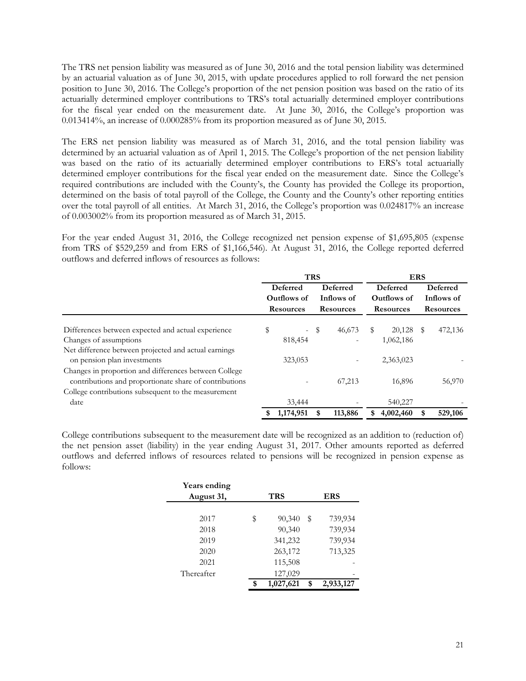The TRS net pension liability was measured as of June 30, 2016 and the total pension liability was determined by an actuarial valuation as of June 30, 2015, with update procedures applied to roll forward the net pension position to June 30, 2016. The College's proportion of the net pension position was based on the ratio of its actuarially determined employer contributions to TRS's total actuarially determined employer contributions for the fiscal year ended on the measurement date. At June 30, 2016, the College's proportion was 0.013414%, an increase of 0.000285% from its proportion measured as of June 30, 2015.

The ERS net pension liability was measured as of March 31, 2016, and the total pension liability was determined by an actuarial valuation as of April 1, 2015. The College's proportion of the net pension liability was based on the ratio of its actuarially determined employer contributions to ERS's total actuarially determined employer contributions for the fiscal year ended on the measurement date. Since the College's required contributions are included with the County's, the County has provided the College its proportion, determined on the basis of total payroll of the College, the County and the County's other reporting entities over the total payroll of all entities. At March 31, 2016, the College's proportion was 0.024817% an increase of 0.003002% from its proportion measured as of March 31, 2015.

For the year ended August 31, 2016, the College recognized net pension expense of \$1,695,805 (expense from TRS of \$529,259 and from ERS of \$1,166,546). At August 31, 2016, the College reported deferred outflows and deferred inflows of resources as follows:

|                                                        | <b>TRS</b> |                  |          |                          |                  | <b>ERS</b>  |                  |         |
|--------------------------------------------------------|------------|------------------|----------|--------------------------|------------------|-------------|------------------|---------|
|                                                        |            | Deferred         | Deferred |                          |                  | Deferred    | Deferred         |         |
|                                                        |            | Outflows of      |          | Inflows of               |                  | Outflows of | Inflows of       |         |
|                                                        |            | <b>Resources</b> |          | <b>Resources</b>         | <b>Resources</b> |             | <b>Resources</b> |         |
|                                                        |            |                  |          |                          |                  |             |                  |         |
| Differences between expected and actual experience     | \$         |                  | $-$ \$   | 46,673                   | S                | 20,128      | - S              | 472,136 |
| Changes of assumptions                                 |            | 818,454          |          |                          |                  | 1,062,186   |                  |         |
| Net difference between projected and actual earnings   |            |                  |          |                          |                  |             |                  |         |
| on pension plan investments                            |            | 323,053          |          | $\overline{\phantom{a}}$ |                  | 2,363,023   |                  |         |
| Changes in proportion and differences between College  |            |                  |          |                          |                  |             |                  |         |
| contributions and proportionate share of contributions |            |                  |          | 67,213                   |                  | 16,896      |                  | 56,970  |
| College contributions subsequent to the measurement    |            |                  |          |                          |                  |             |                  |         |
| date                                                   |            | 33,444           |          |                          |                  | 540,227     |                  |         |
|                                                        |            | 1,174,951        |          | 113,886                  | \$               | 4,002,460   |                  | 529,106 |

College contributions subsequent to the measurement date will be recognized as an addition to (reduction of) the net pension asset (liability) in the year ending August 31, 2017. Other amounts reported as deferred outflows and deferred inflows of resources related to pensions will be recognized in pension expense as follows:

| Years ending<br>August 31, | TRS             |    | <b>ERS</b> |
|----------------------------|-----------------|----|------------|
|                            |                 |    |            |
| 2017                       | \$<br>90,340    | S  | 739,934    |
| 2018                       | 90,340          |    | 739,934    |
| 2019                       | 341,232         |    | 739,934    |
| 2020                       | 263,172         |    | 713,325    |
| 2021                       | 115,508         |    |            |
| Thereafter                 | 127,029         |    |            |
|                            | \$<br>1,027,621 | \$ | 2,933,127  |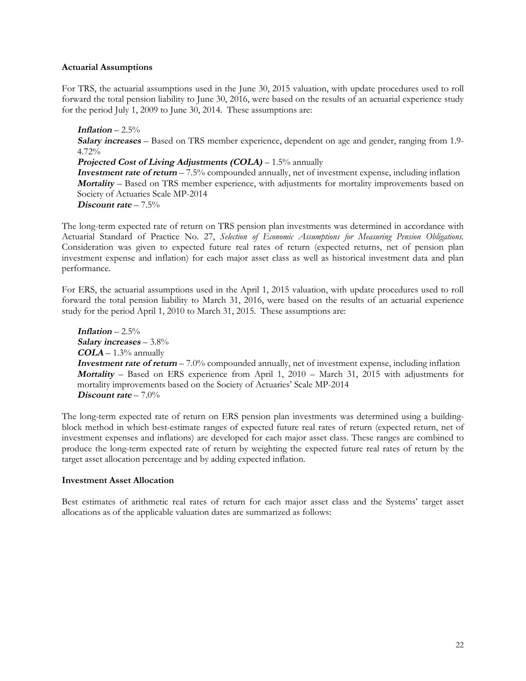#### **Actuarial Assumptions**

For TRS, the actuarial assumptions used in the June 30, 2015 valuation, with update procedures used to roll forward the total pension liability to June 30, 2016, were based on the results of an actuarial experience study for the period July 1, 2009 to June 30, 2014. These assumptions are:

**Inflation** –  $2.5\%$ 

**Salary increases** – Based on TRS member experience, dependent on age and gender, ranging from 1.9-  $4.72\%$ 

**Projected Cost of Living Adjustments (COLA) – 1.5% annually** 

**Investment rate of return** – 7.5% compounded annually, net of investment expense, including inflation **Mortality** – Based on TRS member experience, with adjustments for mortality improvements based on Society of Actuaries Scale MP-2014 **Discount rate** – 7.5%

The long-term expected rate of return on TRS pension plan investments was determined in accordance with Actuarial Standard of Practice No. 27, *Selection of Economic Assumptions for Measuring Pension Obligations.*  Consideration was given to expected future real rates of return (expected returns, net of pension plan investment expense and inflation) for each major asset class as well as historical investment data and plan performance.

For ERS, the actuarial assumptions used in the April 1, 2015 valuation, with update procedures used to roll forward the total pension liability to March 31, 2016, were based on the results of an actuarial experience study for the period April 1, 2010 to March 31, 2015. These assumptions are:

**Inflation** – 2.5% **Salary increases** – 3.8% **COLA** – 1.3% annually **Investment rate of return** – 7.0% compounded annually, net of investment expense, including inflation **Mortality** – Based on ERS experience from April 1, 2010 – March 31, 2015 with adjustments for mortality improvements based on the Society of Actuaries' Scale MP-2014 **Discount rate** – 7.0%

The long-term expected rate of return on ERS pension plan investments was determined using a buildingblock method in which best-estimate ranges of expected future real rates of return (expected return, net of investment expenses and inflations) are developed for each major asset class. These ranges are combined to produce the long-term expected rate of return by weighting the expected future real rates of return by the target asset allocation percentage and by adding expected inflation.

## **Investment Asset Allocation**

Best estimates of arithmetic real rates of return for each major asset class and the Systems' target asset allocations as of the applicable valuation dates are summarized as follows: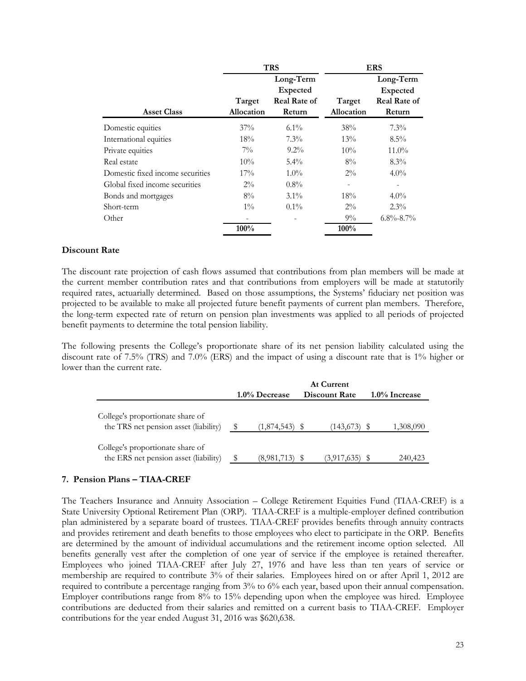|                                  |                      | <b>TRS</b>                                             |                      | <b>ERS</b>                                                    |
|----------------------------------|----------------------|--------------------------------------------------------|----------------------|---------------------------------------------------------------|
| <b>Asset Class</b>               | Target<br>Allocation | Long-Term<br>Expected<br><b>Real Rate of</b><br>Return | Target<br>Allocation | Long-Term<br><b>Expected</b><br><b>Real Rate of</b><br>Return |
| Domestic equities                | $37\%$               | $6.1\%$                                                | 38%                  | $7.3\%$                                                       |
| International equities           | 18%                  | $7.3\%$                                                | 13%                  | $8.5\%$                                                       |
| Private equities                 | $7\%$                | $9.2\%$                                                | 10%                  | $11.0\%$                                                      |
| Real estate                      | $10\%$               | $5.4\%$                                                | $8\%$                | $8.3\%$                                                       |
| Domestic fixed income securities | 17%                  | $1.0\%$                                                | $2\%$                | $4.0\%$                                                       |
| Global fixed income securities   | $2\%$                | $0.8\%$                                                |                      |                                                               |
| Bonds and mortgages              | 8%                   | $3.1\%$                                                | 18%                  | $4.0\%$                                                       |
| Short-term                       | $1\%$                | $0.1\%$                                                | $2\%$                | $2.3\%$                                                       |
| Other                            |                      |                                                        | $9\%$                | $6.8\% - 8.7\%$                                               |
|                                  | 100%                 |                                                        | 100%                 |                                                               |

#### **Discount Rate**

The discount rate projection of cash flows assumed that contributions from plan members will be made at the current member contribution rates and that contributions from employers will be made at statutorily required rates, actuarially determined. Based on those assumptions, the Systems' fiduciary net position was projected to be available to make all projected future benefit payments of current plan members. Therefore, the long-term expected rate of return on pension plan investments was applied to all periods of projected benefit payments to determine the total pension liability.

The following presents the College's proportionate share of its net pension liability calculated using the discount rate of 7.5% (TRS) and 7.0% (ERS) and the impact of using a discount rate that is 1% higher or lower than the current rate.

|                                                                           |               | <b>At Current</b>    |                  |
|---------------------------------------------------------------------------|---------------|----------------------|------------------|
|                                                                           | 1.0% Decrease | <b>Discount Rate</b> | $1.0\%$ Increase |
| College's proportionate share of<br>the TRS net pension asset (liability) | (1,874,543)   | (143, 673)           | 1,308,090        |
| College's proportionate share of<br>the ERS net pension asset (liability) | (8,981,713)   | (3,917,635)          | 240,423          |

#### **7. Pension Plans – TIAA-CREF**

The Teachers Insurance and Annuity Association – College Retirement Equities Fund (TIAA-CREF) is a State University Optional Retirement Plan (ORP). TIAA-CREF is a multiple-employer defined contribution plan administered by a separate board of trustees. TIAA-CREF provides benefits through annuity contracts and provides retirement and death benefits to those employees who elect to participate in the ORP. Benefits are determined by the amount of individual accumulations and the retirement income option selected. All benefits generally vest after the completion of one year of service if the employee is retained thereafter. Employees who joined TIAA-CREF after July 27, 1976 and have less than ten years of service or membership are required to contribute 3% of their salaries. Employees hired on or after April 1, 2012 are required to contribute a percentage ranging from 3% to 6% each year, based upon their annual compensation. Employer contributions range from 8% to 15% depending upon when the employee was hired. Employee contributions are deducted from their salaries and remitted on a current basis to TIAA-CREF. Employer contributions for the year ended August 31, 2016 was \$620,638.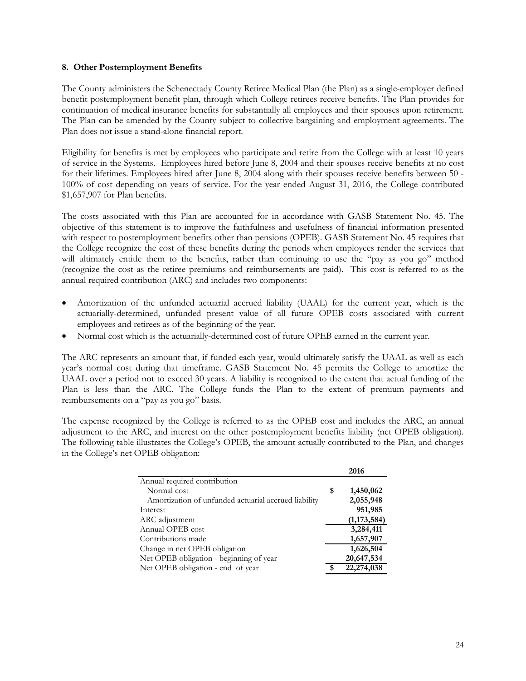#### **8. Other Postemployment Benefits**

The County administers the Schenectady County Retiree Medical Plan (the Plan) as a single-employer defined benefit postemployment benefit plan, through which College retirees receive benefits. The Plan provides for continuation of medical insurance benefits for substantially all employees and their spouses upon retirement. The Plan can be amended by the County subject to collective bargaining and employment agreements. The Plan does not issue a stand-alone financial report.

Eligibility for benefits is met by employees who participate and retire from the College with at least 10 years of service in the Systems. Employees hired before June 8, 2004 and their spouses receive benefits at no cost for their lifetimes. Employees hired after June 8, 2004 along with their spouses receive benefits between 50 - 100% of cost depending on years of service. For the year ended August 31, 2016, the College contributed \$1,657,907 for Plan benefits.

The costs associated with this Plan are accounted for in accordance with GASB Statement No. 45. The objective of this statement is to improve the faithfulness and usefulness of financial information presented with respect to postemployment benefits other than pensions (OPEB). GASB Statement No. 45 requires that the College recognize the cost of these benefits during the periods when employees render the services that will ultimately entitle them to the benefits, rather than continuing to use the "pay as you go" method (recognize the cost as the retiree premiums and reimbursements are paid). This cost is referred to as the annual required contribution (ARC) and includes two components:

- Amortization of the unfunded actuarial accrued liability (UAAL) for the current year, which is the actuarially-determined, unfunded present value of all future OPEB costs associated with current employees and retirees as of the beginning of the year.
- Normal cost which is the actuarially-determined cost of future OPEB earned in the current year.

The ARC represents an amount that, if funded each year, would ultimately satisfy the UAAL as well as each year's normal cost during that timeframe. GASB Statement No. 45 permits the College to amortize the UAAL over a period not to exceed 30 years. A liability is recognized to the extent that actual funding of the Plan is less than the ARC. The College funds the Plan to the extent of premium payments and reimbursements on a "pay as you go" basis.

The expense recognized by the College is referred to as the OPEB cost and includes the ARC, an annual adjustment to the ARC, and interest on the other postemployment benefits liability (net OPEB obligation). The following table illustrates the College's OPEB, the amount actually contributed to the Plan, and changes in the College's net OPEB obligation:

|                                                      |    | 2016          |
|------------------------------------------------------|----|---------------|
| Annual required contribution                         |    |               |
| Normal cost                                          | \$ | 1,450,062     |
| Amortization of unfunded actuarial accrued liability |    | 2,055,948     |
| Interest                                             |    | 951,985       |
| ARC adjustment                                       |    | (1, 173, 584) |
| Annual OPEB cost                                     |    | 3,284,411     |
| Contributions made                                   |    | 1,657,907     |
| Change in net OPEB obligation                        |    | 1,626,504     |
| Net OPEB obligation - beginning of year              |    | 20,647,534    |
| Net OPEB obligation - end of year                    | S  | 22,274,038    |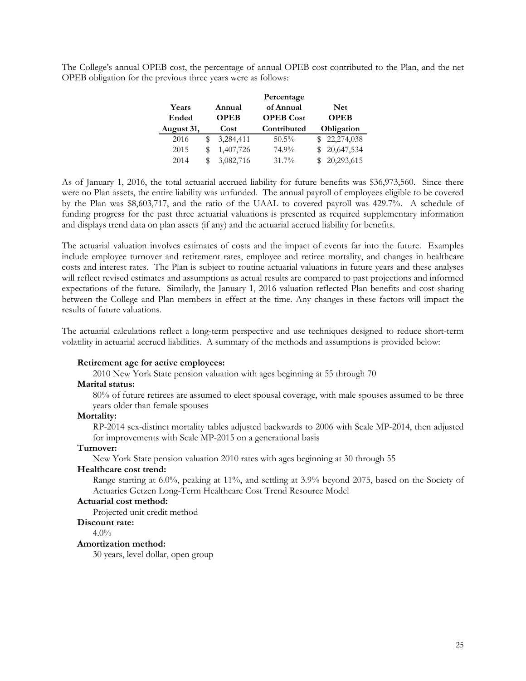The College's annual OPEB cost, the percentage of annual OPEB cost contributed to the Plan, and the net OPEB obligation for the previous three years were as follows:

|            |   |             | Percentage       |             |
|------------|---|-------------|------------------|-------------|
| Years      |   | Annual      | of Annual        | <b>Net</b>  |
| Ended      |   | <b>OPEB</b> | <b>OPEB</b> Cost | <b>OPEB</b> |
| August 31, |   | Cost        | Contributed      | Obligation  |
| 2016       | S | 3,284,411   | $50.5\%$         | 22,274,038  |
| 2015       |   | 1,407,726   | 74.9%            | 20,647,534  |
| 2014       |   | 3,082,716   | $31.7\%$         | 20,293,615  |

As of January 1, 2016, the total actuarial accrued liability for future benefits was \$36,973,560. Since there were no Plan assets, the entire liability was unfunded. The annual payroll of employees eligible to be covered by the Plan was \$8,603,717, and the ratio of the UAAL to covered payroll was 429.7%. A schedule of funding progress for the past three actuarial valuations is presented as required supplementary information and displays trend data on plan assets (if any) and the actuarial accrued liability for benefits.

The actuarial valuation involves estimates of costs and the impact of events far into the future. Examples include employee turnover and retirement rates, employee and retiree mortality, and changes in healthcare costs and interest rates. The Plan is subject to routine actuarial valuations in future years and these analyses will reflect revised estimates and assumptions as actual results are compared to past projections and informed expectations of the future. Similarly, the January 1, 2016 valuation reflected Plan benefits and cost sharing between the College and Plan members in effect at the time. Any changes in these factors will impact the results of future valuations.

The actuarial calculations reflect a long-term perspective and use techniques designed to reduce short-term volatility in actuarial accrued liabilities. A summary of the methods and assumptions is provided below:

#### **Retirement age for active employees:**

2010 New York State pension valuation with ages beginning at 55 through 70

## **Marital status:**

80% of future retirees are assumed to elect spousal coverage, with male spouses assumed to be three years older than female spouses

#### **Mortality:**

RP-2014 sex-distinct mortality tables adjusted backwards to 2006 with Scale MP-2014, then adjusted for improvements with Scale MP-2015 on a generational basis

#### **Turnover:**

New York State pension valuation 2010 rates with ages beginning at 30 through 55

#### **Healthcare cost trend:**

Range starting at 6.0%, peaking at 11%, and settling at 3.9% beyond 2075, based on the Society of Actuaries Getzen Long-Term Healthcare Cost Trend Resource Model

# **Actuarial cost method:**

Projected unit credit method

#### **Discount rate:**

 $4.0\%$ 

#### **Amortization method:**

30 years, level dollar, open group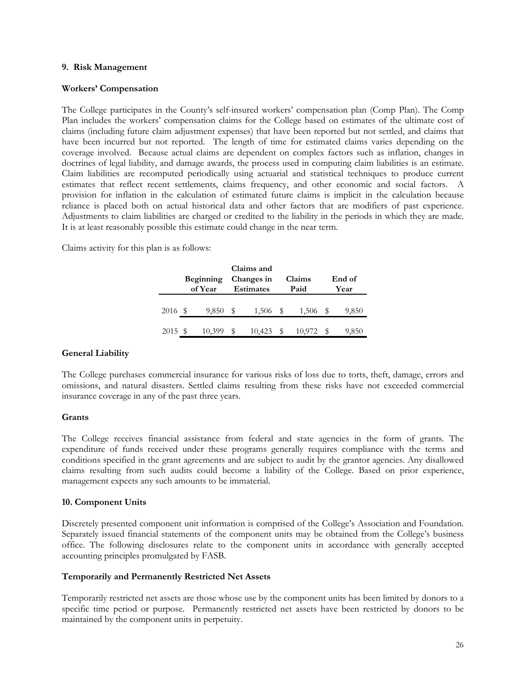#### **9. Risk Management**

#### **Workers' Compensation**

The College participates in the County's self-insured workers' compensation plan (Comp Plan). The Comp Plan includes the workers' compensation claims for the College based on estimates of the ultimate cost of claims (including future claim adjustment expenses) that have been reported but not settled, and claims that have been incurred but not reported. The length of time for estimated claims varies depending on the coverage involved. Because actual claims are dependent on complex factors such as inflation, changes in doctrines of legal liability, and damage awards, the process used in computing claim liabilities is an estimate. Claim liabilities are recomputed periodically using actuarial and statistical techniques to produce current estimates that reflect recent settlements, claims frequency, and other economic and social factors. A provision for inflation in the calculation of estimated future claims is implicit in the calculation because reliance is placed both on actual historical data and other factors that are modifiers of past experience. Adjustments to claim liabilities are charged or credited to the liability in the periods in which they are made. It is at least reasonably possible this estimate could change in the near term.

Claims activity for this plan is as follows:

|         | <b>Beginning</b><br>of Year |   | Claims and<br>Changes in<br><b>Estimates</b> | Claims<br>Paid |        |   | End of<br>Year |
|---------|-----------------------------|---|----------------------------------------------|----------------|--------|---|----------------|
| 2016 \$ | 9,850                       | S | 1,506                                        | - S            | 1,506  | S | 9,850          |
| 2015 \$ | 10,399                      |   | 10.423                                       |                | 10.972 |   | 9,850          |

#### **General Liability**

The College purchases commercial insurance for various risks of loss due to torts, theft, damage, errors and omissions, and natural disasters. Settled claims resulting from these risks have not exceeded commercial insurance coverage in any of the past three years.

#### **Grants**

The College receives financial assistance from federal and state agencies in the form of grants. The expenditure of funds received under these programs generally requires compliance with the terms and conditions specified in the grant agreements and are subject to audit by the grantor agencies. Any disallowed claims resulting from such audits could become a liability of the College. Based on prior experience, management expects any such amounts to be immaterial.

#### **10. Component Units**

Discretely presented component unit information is comprised of the College's Association and Foundation. Separately issued financial statements of the component units may be obtained from the College's business office. The following disclosures relate to the component units in accordance with generally accepted accounting principles promulgated by FASB.

#### **Temporarily and Permanently Restricted Net Assets**

Temporarily restricted net assets are those whose use by the component units has been limited by donors to a specific time period or purpose. Permanently restricted net assets have been restricted by donors to be maintained by the component units in perpetuity.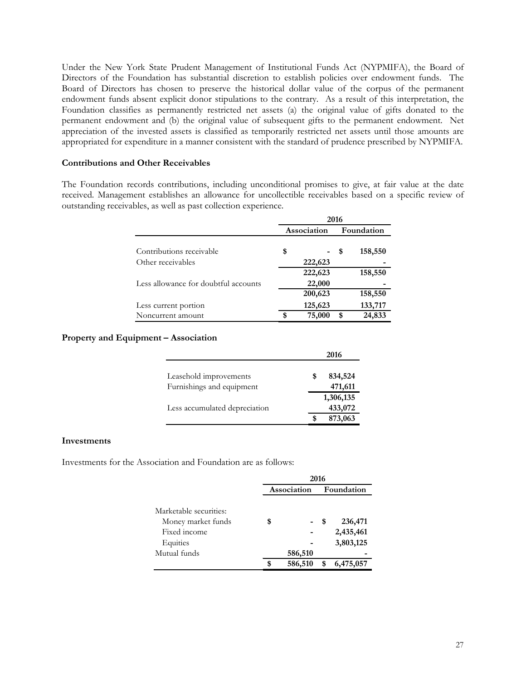Under the New York State Prudent Management of Institutional Funds Act (NYPMIFA), the Board of Directors of the Foundation has substantial discretion to establish policies over endowment funds. The Board of Directors has chosen to preserve the historical dollar value of the corpus of the permanent endowment funds absent explicit donor stipulations to the contrary. As a result of this interpretation, the Foundation classifies as permanently restricted net assets (a) the original value of gifts donated to the permanent endowment and (b) the original value of subsequent gifts to the permanent endowment. Net appreciation of the invested assets is classified as temporarily restricted net assets until those amounts are appropriated for expenditure in a manner consistent with the standard of prudence prescribed by NYPMIFA.

#### **Contributions and Other Receivables**

The Foundation records contributions, including unconditional promises to give, at fair value at the date received. Management establishes an allowance for uncollectible receivables based on a specific review of outstanding receivables, as well as past collection experience.

|                                      | 2016        |         |      |            |  |
|--------------------------------------|-------------|---------|------|------------|--|
|                                      | Association |         |      | Foundation |  |
| Contributions receivable             | \$          |         | - \$ | 158,550    |  |
| Other receivables                    |             | 222,623 |      |            |  |
|                                      |             | 222,623 |      | 158,550    |  |
| Less allowance for doubtful accounts |             | 22,000  |      |            |  |
|                                      |             | 200,623 |      | 158,550    |  |
| Less current portion                 |             | 125,623 |      | 133,717    |  |
| Noncurrent amount                    |             | 75,000  | \$   | 24,833     |  |

#### **Property and Equipment – Association**

|                               |   | 2016      |
|-------------------------------|---|-----------|
| Leasehold improvements        | S | 834,524   |
| Furnishings and equipment     |   | 471,611   |
|                               |   | 1,306,135 |
| Less accumulated depreciation |   | 433,072   |
|                               |   | 873,063   |

## **Investments**

Investments for the Association and Foundation are as follows:

|                        |    | 2016        |            |           |  |  |  |  |  |  |
|------------------------|----|-------------|------------|-----------|--|--|--|--|--|--|
|                        |    | Association | Foundation |           |  |  |  |  |  |  |
|                        |    |             |            |           |  |  |  |  |  |  |
| Marketable securities: |    |             |            |           |  |  |  |  |  |  |
| Money market funds     | \$ |             | \$         | 236,471   |  |  |  |  |  |  |
| Fixed income           |    |             |            | 2,435,461 |  |  |  |  |  |  |
| Equities               |    |             |            | 3,803,125 |  |  |  |  |  |  |
| Mutual funds           |    | 586,510     |            |           |  |  |  |  |  |  |
|                        | S  | 586,510     |            | 6,475,057 |  |  |  |  |  |  |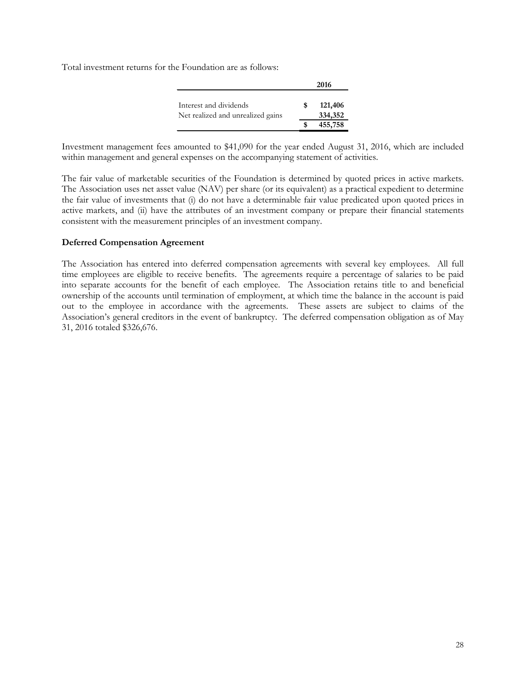Total investment returns for the Foundation are as follows:

|                                                             | 2016 |                    |  |  |  |
|-------------------------------------------------------------|------|--------------------|--|--|--|
| Interest and dividends<br>Net realized and unrealized gains | S    | 121,406<br>334,352 |  |  |  |
|                                                             |      | 455,758            |  |  |  |

Investment management fees amounted to \$41,090 for the year ended August 31, 2016, which are included within management and general expenses on the accompanying statement of activities.

The fair value of marketable securities of the Foundation is determined by quoted prices in active markets. The Association uses net asset value (NAV) per share (or its equivalent) as a practical expedient to determine the fair value of investments that (i) do not have a determinable fair value predicated upon quoted prices in active markets, and (ii) have the attributes of an investment company or prepare their financial statements consistent with the measurement principles of an investment company.

## **Deferred Compensation Agreement**

The Association has entered into deferred compensation agreements with several key employees. All full time employees are eligible to receive benefits. The agreements require a percentage of salaries to be paid into separate accounts for the benefit of each employee. The Association retains title to and beneficial ownership of the accounts until termination of employment, at which time the balance in the account is paid out to the employee in accordance with the agreements. These assets are subject to claims of the Association's general creditors in the event of bankruptcy. The deferred compensation obligation as of May 31, 2016 totaled \$326,676.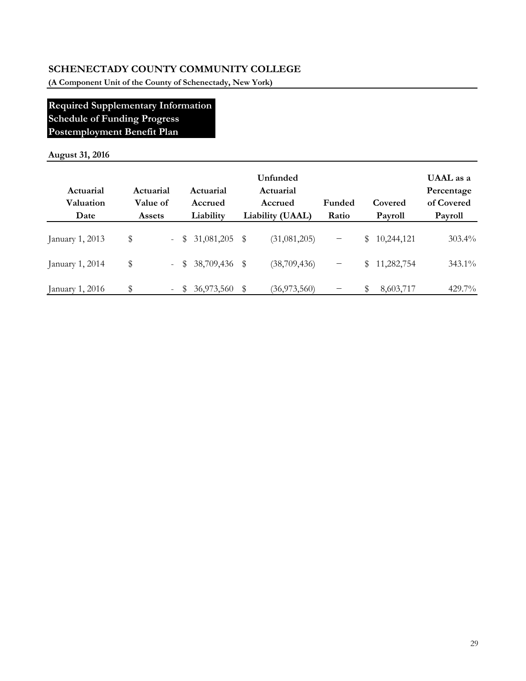**(A Component Unit of the County of Schenectady, New York)**

# **Required Supplementary Information Schedule of Funding Progress Postemployment Benefit Plan**

# **August 31, 2016**

| Actuarial<br>Valuation<br>Date | Actuarial<br>Value of<br><b>Assets</b> |                     |    | Actuarial<br>Accrued<br>Liability | Unfunded<br>Actuarial<br>Accrued<br>Liability (UAAL) | Funded<br>Ratio   |    | Covered<br>Payroll | UAAL as a<br>Percentage<br>of Covered<br>Payroll |
|--------------------------------|----------------------------------------|---------------------|----|-----------------------------------|------------------------------------------------------|-------------------|----|--------------------|--------------------------------------------------|
| January 1, 2013                | \$                                     | $\omega_{\rm{max}}$ |    | $$31,081,205$ \$                  | (31,081,205)                                         | $\qquad \qquad -$ | \$ | 10,244,121         | $303.4\%$                                        |
| January 1, 2014                | \$                                     |                     |    | $-$ \$ 38,709,436 \$              | (38,709,436)                                         | $\qquad \qquad -$ | S. | 11,282,754         | 343.1%                                           |
| January 1, 2016                | \$                                     | $\sim$              | S. | 36,973,560 \$                     | (36, 973, 560)                                       |                   | S  | 8,603,717          | $429.7\%$                                        |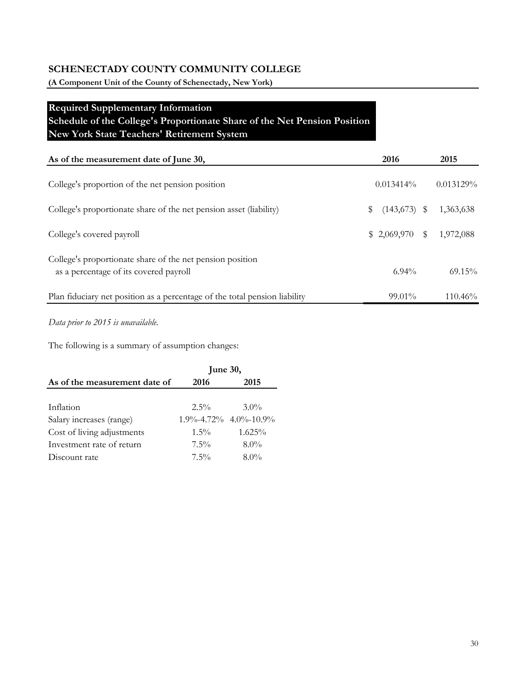**(A Component Unit of the County of Schenectady, New York)**

# **Required Supplementary Information Schedule of the College's Proportionate Share of the Net Pension Position New York State Teachers' Retirement System**

| As of the measurement date of June 30,                                                              |   | 2016         |              | 2015         |
|-----------------------------------------------------------------------------------------------------|---|--------------|--------------|--------------|
| College's proportion of the net pension position                                                    |   | $0.013414\%$ |              | $0.013129\%$ |
| College's proportionate share of the net pension asset (liability)                                  | S | (143, 673)   | S            | 1,363,638    |
| College's covered payroll                                                                           |   | \$2,069,970  | $\mathbb{S}$ | 1,972,088    |
| College's proportionate share of the net pension position<br>as a percentage of its covered payroll |   | $6.94\%$     |              | $69.15\%$    |
| Plan fiduciary net position as a percentage of the total pension liability                          |   | $99.01\%$    |              | $110.46\%$   |

*Data prior to 2015 is unavailable.*

The following is a summary of assumption changes:

|                               | June 30, |                                   |
|-------------------------------|----------|-----------------------------------|
| As of the measurement date of | 2016     | 2015                              |
|                               |          |                                   |
| Inflation                     | $2.5\%$  | $3.0\%$                           |
| Salary increases (range)      |          | $1.9\% - 4.72\% - 4.0\% - 10.9\%$ |
| Cost of living adjustments    | $1.5\%$  | $1.625\%$                         |
| Investment rate of return     | $7.5\%$  | $8.0\%$                           |
| Discount rate                 | $7.5\%$  | $8.0\%$                           |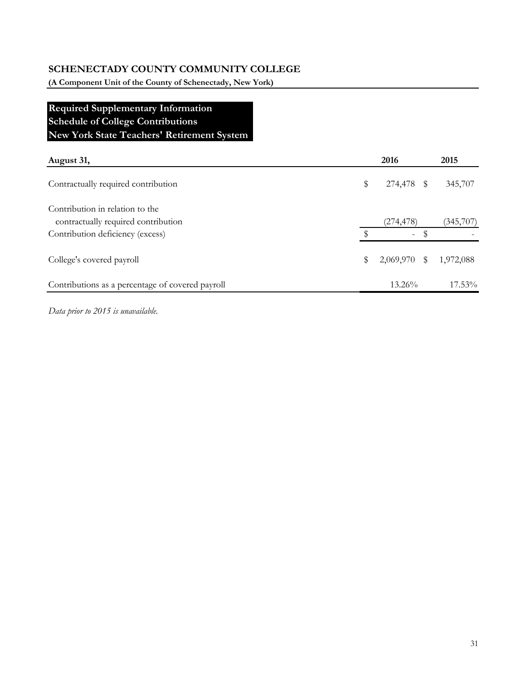**(A Component Unit of the County of Schenectady, New York)**

# **Required Supplementary Information Schedule of College Contributions New York State Teachers' Retirement System**

| August 31,                                                             |               | 2016                     |    | 2015      |
|------------------------------------------------------------------------|---------------|--------------------------|----|-----------|
| Contractually required contribution                                    | \$            | 274,478 \$               |    | 345,707   |
| Contribution in relation to the<br>contractually required contribution |               | (274, 478)               |    | (345,707) |
| Contribution deficiency (excess)                                       | $\mathcal{S}$ | $\overline{\phantom{a}}$ | \$ |           |
| College's covered payroll                                              | \$            | 2,069,970                | S  | 1,972,088 |
| Contributions as a percentage of covered payroll                       |               | $13.26\%$                |    | 17.53%    |

*Data prior to 2015 is unavailable.*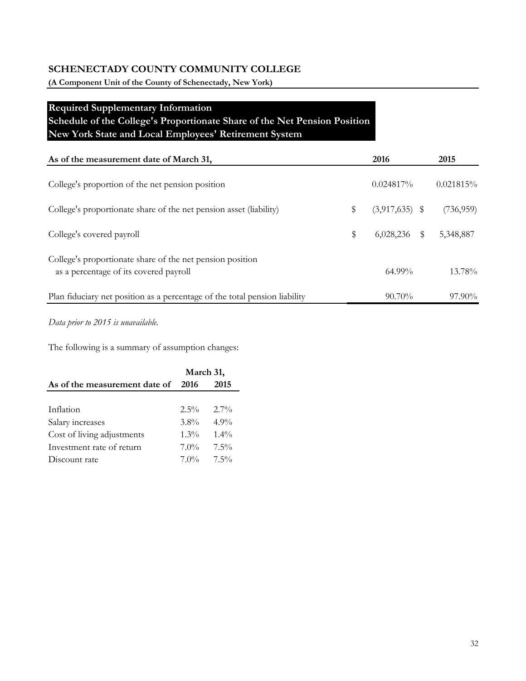**(A Component Unit of the County of Schenectady, New York)**

# **Required Supplementary Information Schedule of the College's Proportionate Share of the Net Pension Position New York State and Local Employees' Retirement System**

| As of the measurement date of March 31,                                                             |   | 2016             |     | 2015       |
|-----------------------------------------------------------------------------------------------------|---|------------------|-----|------------|
| College's proportion of the net pension position                                                    |   | $0.024817\%$     |     | 0.021815%  |
| College's proportionate share of the net pension asset (liability)                                  |   | $(3,917,635)$ \$ |     | (736, 959) |
| College's covered payroll                                                                           | S | 6,028,236        | \$. | 5,348,887  |
| College's proportionate share of the net pension position<br>as a percentage of its covered payroll |   | $64.99\%$        |     | $13.78\%$  |
| Plan fiduciary net position as a percentage of the total pension liability                          |   | $90.70\%$        |     | $97.90\%$  |

*Data prior to 2015 is unavailable.*

The following is a summary of assumption changes:

|                               | March 31, |         |  |  |  |
|-------------------------------|-----------|---------|--|--|--|
| As of the measurement date of | - 2016    | 2015    |  |  |  |
|                               |           |         |  |  |  |
| Inflation                     | $2.5\%$   | $2.7\%$ |  |  |  |
| Salary increases              | $3.8\%$   | $4.9\%$ |  |  |  |
| Cost of living adjustments    | $1.3\%$   | $1.4\%$ |  |  |  |
| Investment rate of return     | $7.0\%$   | $7.5\%$ |  |  |  |
| Discount rate                 | $7.0\%$   | $7.5\%$ |  |  |  |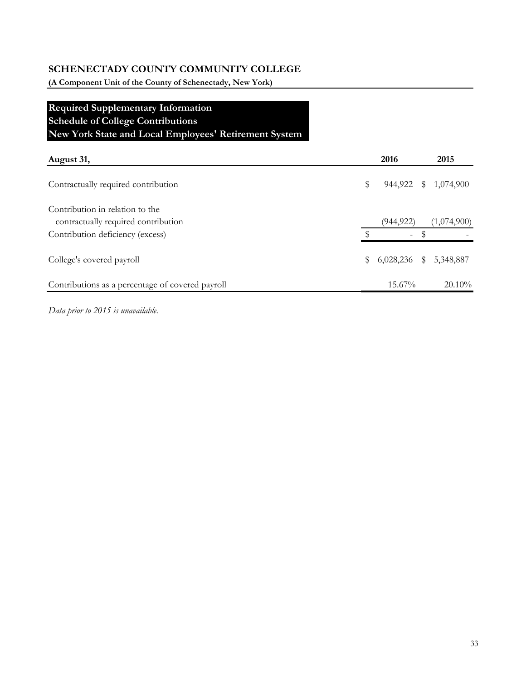**(A Component Unit of the County of Schenectady, New York)**

# **Required Supplementary Information Schedule of College Contributions New York State and Local Employees' Retirement System**

| August 31,                                                             |    | 2016      | 2015                 |
|------------------------------------------------------------------------|----|-----------|----------------------|
| Contractually required contribution                                    | \$ |           | 944,922 \$ 1,074,900 |
| Contribution in relation to the<br>contractually required contribution |    | (944,922) | (1,074,900)          |
| Contribution deficiency (excess)                                       | ٩  | Ξ.        |                      |
| College's covered payroll                                              | \$ | 6,028,236 | \$5,348,887          |
| Contributions as a percentage of covered payroll                       |    | 15.67%    | $20.10\%$            |

*Data prior to 2015 is unavailable.*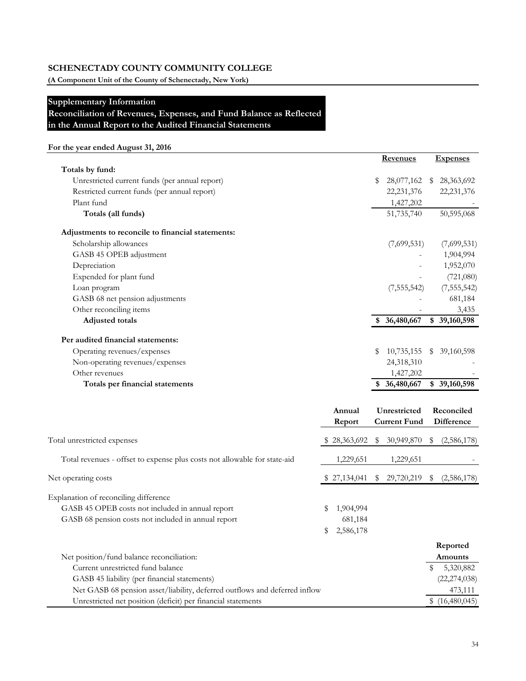**(A Component Unit of the County of Schenectady, New York)**

#### **Supplementary Information**

**Reconciliation of Revenues, Expenses, and Fund Balance as Reflected** 

**in the Annual Report to the Audited Financial Statements**

# **For the year ended August 31, 2016**

|                                                                           |                  |    | <b>Revenues</b>                     |    | <b>Expenses</b>          |
|---------------------------------------------------------------------------|------------------|----|-------------------------------------|----|--------------------------|
| Totals by fund:                                                           |                  |    |                                     |    |                          |
| Unrestricted current funds (per annual report)                            |                  | \$ | 28,077,162                          | -S | 28,363,692               |
| Restricted current funds (per annual report)                              |                  |    | 22, 231, 376                        |    | 22, 231, 376             |
| Plant fund                                                                |                  |    | 1,427,202                           |    |                          |
| Totals (all funds)                                                        |                  |    | 51,735,740                          |    | 50,595,068               |
| Adjustments to reconcile to financial statements:                         |                  |    |                                     |    |                          |
| Scholarship allowances                                                    |                  |    | (7,699,531)                         |    | (7,699,531)              |
| GASB 45 OPEB adjustment                                                   |                  |    |                                     |    | 1,904,994                |
| Depreciation                                                              |                  |    |                                     |    | 1,952,070                |
| Expended for plant fund                                                   |                  |    |                                     |    | (721,080)                |
| Loan program                                                              |                  |    | (7, 555, 542)                       |    | (7, 555, 542)            |
| GASB 68 net pension adjustments                                           |                  |    |                                     |    | 681,184                  |
| Other reconciling items                                                   |                  |    |                                     |    | 3,435                    |
| <b>Adjusted</b> totals                                                    |                  |    | \$ 36,480,667                       |    | \$39,160,598             |
| Per audited financial statements:                                         |                  |    |                                     |    |                          |
| Operating revenues/expenses                                               |                  | S  | 10,735,155                          | S  | 39,160,598               |
| Non-operating revenues/expenses                                           |                  |    | 24,318,310                          |    |                          |
| Other revenues                                                            |                  |    | 1,427,202                           |    |                          |
| Totals per financial statements                                           |                  |    | \$ 36,480,667                       |    | \$39,160,598             |
|                                                                           |                  |    |                                     |    |                          |
|                                                                           | Annual<br>Report |    | Unrestricted<br><b>Current Fund</b> |    | Reconciled<br>Difference |
| Total unrestricted expenses                                               | 28,363,692       | \$ | 30,949,870                          | -S | (2,586,178)              |
|                                                                           |                  |    |                                     |    |                          |
| Total revenues - offset to expense plus costs not allowable for state-aid | 1,229,651        |    | 1,229,651                           |    |                          |

| Net operating costs                                                        |     | \$27,134,041 | 29,720,219 | (2,586,178)<br>S |
|----------------------------------------------------------------------------|-----|--------------|------------|------------------|
| Explanation of reconciling difference                                      |     |              |            |                  |
| GASB 45 OPEB costs not included in annual report                           |     | 1,904,994    |            |                  |
| GASB 68 pension costs not included in annual report                        |     | 681,184      |            |                  |
|                                                                            | SS. | 2,586,178    |            |                  |
|                                                                            |     |              |            | Reported         |
| Net position/fund balance reconciliation:                                  |     |              |            | Amounts          |
| Current unrestricted fund balance                                          |     |              |            | 5,320,882        |
| GASB 45 liability (per financial statements)                               |     |              |            | (22, 274, 038)   |
| Net GASB 68 pension asset/liability, deferred outflows and deferred inflow |     |              |            | 473,111          |
| Unrestricted net position (deficit) per financial statements               |     |              |            | \$(16,480,045)   |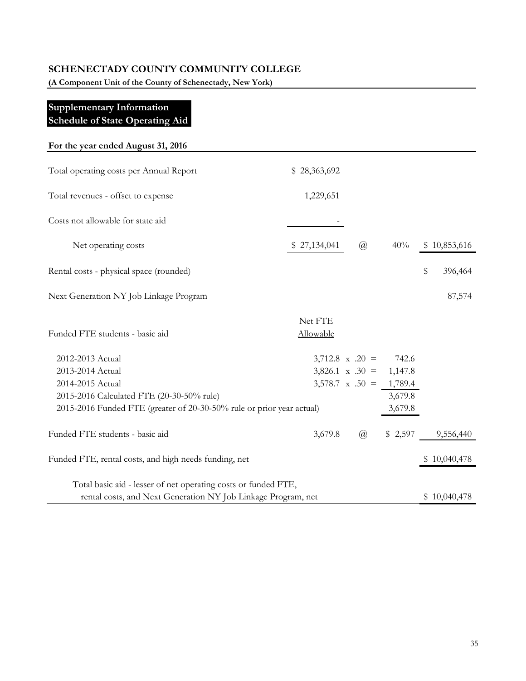**(A Component Unit of the County of Schenectady, New York)**

# **Supplementary Information Schedule of State Operating Aid**

| For the year ended August 31, 2016                                    |              |                        |         |               |
|-----------------------------------------------------------------------|--------------|------------------------|---------|---------------|
| Total operating costs per Annual Report                               | \$28,363,692 |                        |         |               |
| Total revenues - offset to expense                                    | 1,229,651    |                        |         |               |
| Costs not allowable for state aid                                     |              |                        |         |               |
| Net operating costs                                                   | \$27,134,041 | $\mathcal{a}$          | 40%     | \$10,853,616  |
| Rental costs - physical space (rounded)                               |              |                        |         | \$<br>396,464 |
| Next Generation NY Job Linkage Program                                |              |                        |         | 87,574        |
|                                                                       | Net FTE      |                        |         |               |
| Funded FTE students - basic aid                                       | Allowable    |                        |         |               |
| 2012-2013 Actual                                                      |              | $3,712.8 \times .20 =$ | 742.6   |               |
| 2013-2014 Actual                                                      |              | $3,826.1 \times .30 =$ | 1,147.8 |               |
| 2014-2015 Actual                                                      |              | $3,578.7 \times .50 =$ | 1,789.4 |               |
| 2015-2016 Calculated FTE (20-30-50% rule)                             |              |                        | 3,679.8 |               |
| 2015-2016 Funded FTE (greater of 20-30-50% rule or prior year actual) |              |                        | 3,679.8 |               |
| Funded FTE students - basic aid                                       | 3,679.8      | $\overline{a}$         | \$2,597 | 9,556,440     |
| Funded FTE, rental costs, and high needs funding, net                 |              |                        |         | \$10,040,478  |
| Total basic aid - lesser of net operating costs or funded FTE,        |              |                        |         |               |
| rental costs, and Next Generation NY Job Linkage Program, net         |              |                        |         | \$10,040,478  |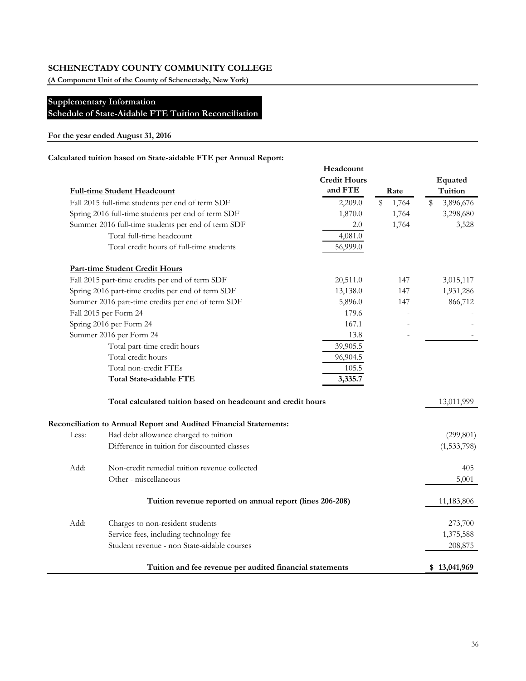**(A Component Unit of the County of Schenectady, New York)**

# **Supplementary Information**

**Schedule of State-Aidable FTE Tuition Reconciliation**

#### **For the year ended August 31, 2016**

#### **Calculated tuition based on State-aidable FTE per Annual Report:**

|       |                                                                   | Headcount           |    |       |    |              |  |
|-------|-------------------------------------------------------------------|---------------------|----|-------|----|--------------|--|
|       |                                                                   | <b>Credit Hours</b> |    |       |    | Equated      |  |
|       | <b>Full-time Student Headcount</b>                                | and FTE             |    | Rate  |    | Tuition      |  |
|       | Fall 2015 full-time students per end of term SDF                  | 2,209.0             | \$ | 1,764 | \$ | 3,896,676    |  |
|       | Spring 2016 full-time students per end of term SDF                | 1,870.0             |    | 1,764 |    | 3,298,680    |  |
|       | Summer 2016 full-time students per end of term SDF                | 2.0                 |    | 1,764 |    | 3,528        |  |
|       | Total full-time headcount                                         | 4,081.0             |    |       |    |              |  |
|       | Total credit hours of full-time students                          | 56,999.0            |    |       |    |              |  |
|       | <b>Part-time Student Credit Hours</b>                             |                     |    |       |    |              |  |
|       | Fall 2015 part-time credits per end of term SDF                   | 20,511.0            |    | 147   |    | 3,015,117    |  |
|       | Spring 2016 part-time credits per end of term SDF                 | 13,138.0            |    | 147   |    | 1,931,286    |  |
|       | Summer 2016 part-time credits per end of term SDF                 | 5,896.0             |    | 147   |    | 866,712      |  |
|       | Fall 2015 per Form 24                                             | 179.6               |    |       |    |              |  |
|       | Spring 2016 per Form 24                                           | 167.1               |    |       |    |              |  |
|       | Summer 2016 per Form 24                                           | 13.8                |    |       |    |              |  |
|       | Total part-time credit hours                                      | 39,905.5            |    |       |    |              |  |
|       | Total credit hours                                                | 96,904.5            |    |       |    |              |  |
|       | Total non-credit FTEs                                             | 105.5               |    |       |    |              |  |
|       | <b>Total State-aidable FTE</b>                                    | 3,335.7             |    |       |    |              |  |
|       | Total calculated tuition based on headcount and credit hours      |                     |    |       |    | 13,011,999   |  |
|       | Reconciliation to Annual Report and Audited Financial Statements: |                     |    |       |    |              |  |
| Less: | Bad debt allowance charged to tuition                             |                     |    |       |    | (299, 801)   |  |
|       | Difference in tuition for discounted classes                      |                     |    |       |    | (1,533,798)  |  |
| Add:  | Non-credit remedial tuition revenue collected                     |                     |    |       |    | 405          |  |
|       | Other - miscellaneous                                             |                     |    |       |    | 5,001        |  |
|       | Tuition revenue reported on annual report (lines 206-208)         |                     |    |       |    | 11,183,806   |  |
| Add:  | Charges to non-resident students                                  |                     |    |       |    | 273,700      |  |
|       | Service fees, including technology fee                            |                     |    |       |    | 1,375,588    |  |
|       | Student revenue - non State-aidable courses                       |                     |    |       |    | 208,875      |  |
|       | Tuition and fee revenue per audited financial statements          |                     |    |       |    | \$13,041,969 |  |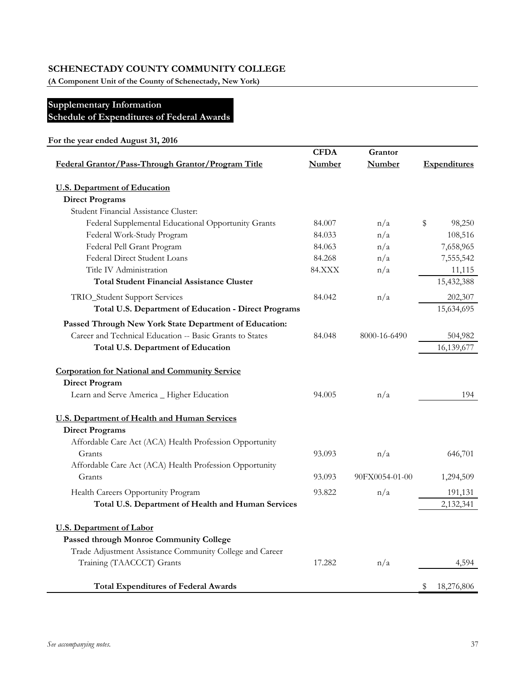**(A Component Unit of the County of Schenectady, New York)**

# **Supplementary Information Schedule of Expenditures of Federal Awards**

|                                                                                       | <b>CFDA</b>   | Grantor        |                     |
|---------------------------------------------------------------------------------------|---------------|----------------|---------------------|
| Federal Grantor/Pass-Through Grantor/Program Title                                    | Number        | <b>Number</b>  | <b>Expenditures</b> |
| <b>U.S. Department of Education</b>                                                   |               |                |                     |
| <b>Direct Programs</b>                                                                |               |                |                     |
| Student Financial Assistance Cluster:                                                 |               |                |                     |
| Federal Supplemental Educational Opportunity Grants                                   | 84.007        | n/a            | \$<br>98,250        |
| Federal Work-Study Program                                                            | 84.033        | n/a            | 108,516             |
| Federal Pell Grant Program                                                            | 84.063        | n/a            | 7,658,965           |
| Federal Direct Student Loans                                                          | 84.268        | n/a            | 7,555,542           |
| Title IV Administration                                                               | <b>84.XXX</b> | n/a            | 11,115              |
| <b>Total Student Financial Assistance Cluster</b>                                     |               |                | 15,432,388          |
| TRIO_Student Support Services                                                         | 84.042        | n/a            | 202,307             |
| Total U.S. Department of Education - Direct Programs                                  |               |                | 15,634,695          |
| Passed Through New York State Department of Education:                                |               |                |                     |
| Career and Technical Education -- Basic Grants to States                              | 84.048        | 8000-16-6490   | 504,982             |
| Total U.S. Department of Education                                                    |               |                | 16,139,677          |
| <b>Corporation for National and Community Service</b>                                 |               |                |                     |
| <b>Direct Program</b>                                                                 |               |                |                     |
| Learn and Serve America _ Higher Education                                            | 94.005        | n/a            | 194                 |
|                                                                                       |               |                |                     |
| <b>U.S. Department of Health and Human Services</b>                                   |               |                |                     |
| <b>Direct Programs</b>                                                                |               |                |                     |
| Affordable Care Act (ACA) Health Profession Opportunity                               |               |                |                     |
| Grants                                                                                | 93.093        | n/a            | 646,701             |
| Affordable Care Act (ACA) Health Profession Opportunity                               |               |                |                     |
| Grants                                                                                | 93.093        | 90FX0054-01-00 | 1,294,509           |
| Health Careers Opportunity Program                                                    | 93.822        | n/a            | 191,131             |
| Total U.S. Department of Health and Human Services                                    |               |                | 2,132,341           |
| <b>U.S. Department of Labor</b>                                                       |               |                |                     |
| Passed through Monroe Community College                                               |               |                |                     |
|                                                                                       |               |                |                     |
|                                                                                       |               |                |                     |
| Trade Adjustment Assistance Community College and Career<br>Training (TAACCCT) Grants | 17.282        | n/a            | 4,594               |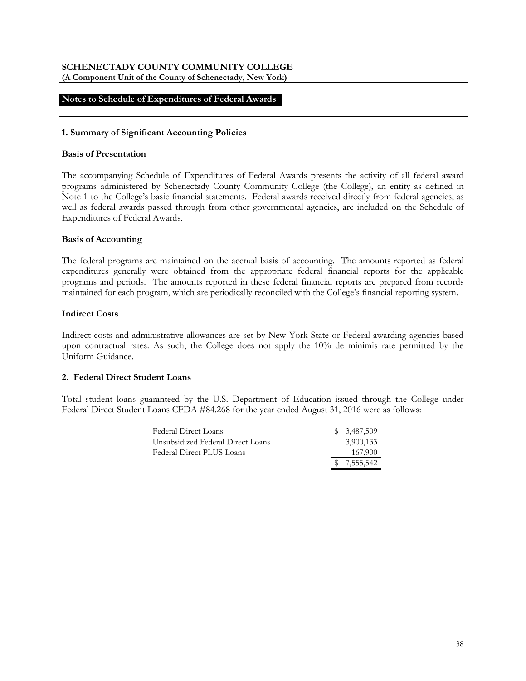#### **SCHENECTADY COUNTY COMMUNITY COLLEGE (A Component Unit of the County of Schenectady, New York)**

# **Notes to Schedule of Expenditures of Federal Awards**

#### **1. Summary of Significant Accounting Policies**

#### **Basis of Presentation**

The accompanying Schedule of Expenditures of Federal Awards presents the activity of all federal award programs administered by Schenectady County Community College (the College), an entity as defined in Note 1 to the College's basic financial statements. Federal awards received directly from federal agencies, as well as federal awards passed through from other governmental agencies, are included on the Schedule of Expenditures of Federal Awards.

#### **Basis of Accounting**

The federal programs are maintained on the accrual basis of accounting. The amounts reported as federal expenditures generally were obtained from the appropriate federal financial reports for the applicable programs and periods. The amounts reported in these federal financial reports are prepared from records maintained for each program, which are periodically reconciled with the College's financial reporting system.

#### **Indirect Costs**

Indirect costs and administrative allowances are set by New York State or Federal awarding agencies based upon contractual rates. As such, the College does not apply the 10% de minimis rate permitted by the Uniform Guidance.

#### **2. Federal Direct Student Loans**

Total student loans guaranteed by the U.S. Department of Education issued through the College under Federal Direct Student Loans CFDA #84.268 for the year ended August 31, 2016 were as follows:

| Federal Direct Loans              |  | \$ 3,487,509 |
|-----------------------------------|--|--------------|
| Unsubsidized Federal Direct Loans |  | 3,900,133    |
| Federal Direct PLUS Loans         |  | 167,900      |
|                                   |  | \$7,555,542  |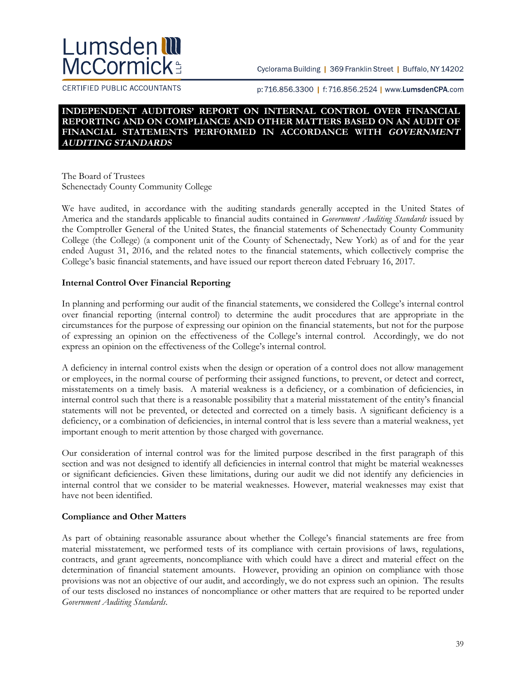# Lumsden**III McCormick:**

Cyclorama Building | 369 Franklin Street | Buffalo, NY 14202

CERTIFIED PUBLIC ACCOUNTANTS

p:716.856.3300 | f:716.856.2524 | www.LumsdenCPA.com

#### **INDEPENDENT AUDITORS' REPORT ON INTERNAL CONTROL OVER FINANCIAL REPORTING AND ON COMPLIANCE AND OTHER MATTERS BASED ON AN AUDIT OF FINANCIAL STATEMENTS PERFORMED IN ACCORDANCE WITH GOVERNMENT AUDITING STANDARDS**

The Board of Trustees Schenectady County Community College

We have audited, in accordance with the auditing standards generally accepted in the United States of America and the standards applicable to financial audits contained in *Government Auditing Standards* issued by the Comptroller General of the United States, the financial statements of Schenectady County Community College (the College) (a component unit of the County of Schenectady, New York) as of and for the year ended August 31, 2016, and the related notes to the financial statements, which collectively comprise the College's basic financial statements, and have issued our report thereon dated February 16, 2017.

#### **Internal Control Over Financial Reporting**

In planning and performing our audit of the financial statements, we considered the College's internal control over financial reporting (internal control) to determine the audit procedures that are appropriate in the circumstances for the purpose of expressing our opinion on the financial statements, but not for the purpose of expressing an opinion on the effectiveness of the College's internal control. Accordingly, we do not express an opinion on the effectiveness of the College's internal control.

A deficiency in internal control exists when the design or operation of a control does not allow management or employees, in the normal course of performing their assigned functions, to prevent, or detect and correct, misstatements on a timely basis. A material weakness is a deficiency, or a combination of deficiencies, in internal control such that there is a reasonable possibility that a material misstatement of the entity's financial statements will not be prevented, or detected and corrected on a timely basis. A significant deficiency is a deficiency, or a combination of deficiencies, in internal control that is less severe than a material weakness, yet important enough to merit attention by those charged with governance.

Our consideration of internal control was for the limited purpose described in the first paragraph of this section and was not designed to identify all deficiencies in internal control that might be material weaknesses or significant deficiencies. Given these limitations, during our audit we did not identify any deficiencies in internal control that we consider to be material weaknesses. However, material weaknesses may exist that have not been identified.

## **Compliance and Other Matters**

As part of obtaining reasonable assurance about whether the College's financial statements are free from material misstatement, we performed tests of its compliance with certain provisions of laws, regulations, contracts, and grant agreements, noncompliance with which could have a direct and material effect on the determination of financial statement amounts. However, providing an opinion on compliance with those provisions was not an objective of our audit, and accordingly, we do not express such an opinion. The results of our tests disclosed no instances of noncompliance or other matters that are required to be reported under *Government Auditing Standards*.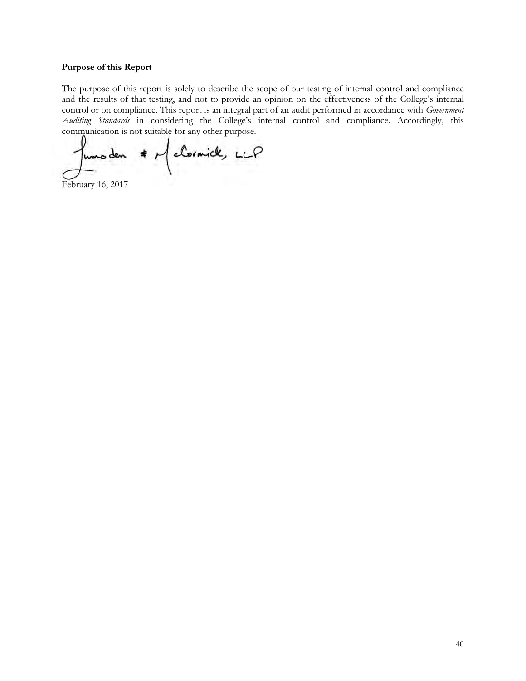#### **Purpose of this Report**

The purpose of this report is solely to describe the scope of our testing of internal control and compliance and the results of that testing, and not to provide an opinion on the effectiveness of the College's internal control or on compliance. This report is an integral part of an audit performed in accordance with *Government Auditing Standards* in considering the College's internal control and compliance. Accordingly, this communication is not suitable for any other purpose.

funs den # McCornick, LLP

February 16, 2017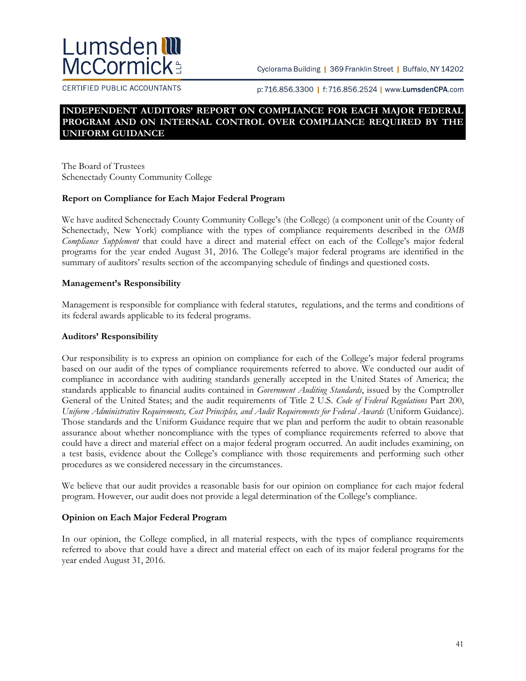# Lumsden**! McCormick:**

Cyclorama Building | 369 Franklin Street | Buffalo, NY 14202

CERTIFIED PUBLIC ACCOUNTANTS

p:716.856.3300 | f:716.856.2524 | www.LumsdenCPA.com

# **INDEPENDENT AUDITORS' REPORT ON COMPLIANCE FOR EACH MAJOR FEDERAL PROGRAM AND ON INTERNAL CONTROL OVER COMPLIANCE REQUIRED BY THE UNIFORM GUIDANCE**

The Board of Trustees Schenectady County Community College

## **Report on Compliance for Each Major Federal Program**

We have audited Schenectady County Community College's (the College) (a component unit of the County of Schenectady, New York) compliance with the types of compliance requirements described in the *OMB Compliance Supplement* that could have a direct and material effect on each of the College's major federal programs for the year ended August 31, 2016. The College's major federal programs are identified in the summary of auditors' results section of the accompanying schedule of findings and questioned costs.

## **Management's Responsibility**

Management is responsible for compliance with federal statutes, regulations, and the terms and conditions of its federal awards applicable to its federal programs.

#### **Auditors' Responsibility**

Our responsibility is to express an opinion on compliance for each of the College's major federal programs based on our audit of the types of compliance requirements referred to above. We conducted our audit of compliance in accordance with auditing standards generally accepted in the United States of America; the standards applicable to financial audits contained in *Government Auditing Standards*, issued by the Comptroller General of the United States; and the audit requirements of Title 2 U.S. *Code of Federal Regulations* Part 200, *Uniform Administrative Requirements, Cost Principles, and Audit Requirements for Federal Awards* (Uniform Guidance). Those standards and the Uniform Guidance require that we plan and perform the audit to obtain reasonable assurance about whether noncompliance with the types of compliance requirements referred to above that could have a direct and material effect on a major federal program occurred. An audit includes examining, on a test basis, evidence about the College's compliance with those requirements and performing such other procedures as we considered necessary in the circumstances.

We believe that our audit provides a reasonable basis for our opinion on compliance for each major federal program. However, our audit does not provide a legal determination of the College's compliance.

## **Opinion on Each Major Federal Program**

In our opinion, the College complied, in all material respects, with the types of compliance requirements referred to above that could have a direct and material effect on each of its major federal programs for the year ended August 31, 2016.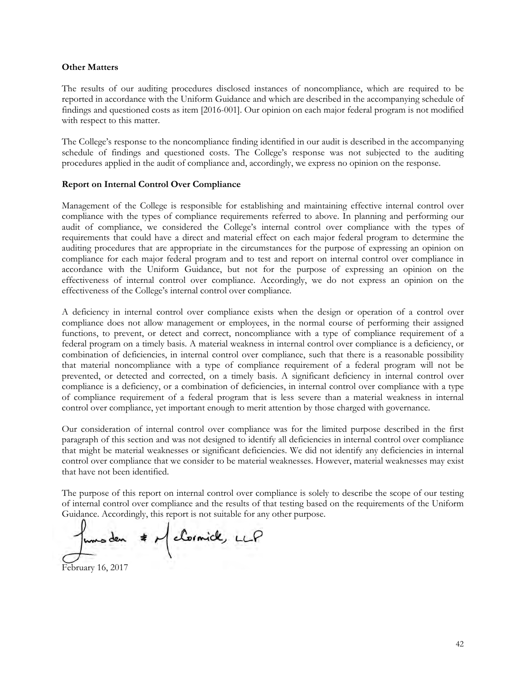#### **Other Matters**

The results of our auditing procedures disclosed instances of noncompliance, which are required to be reported in accordance with the Uniform Guidance and which are described in the accompanying schedule of findings and questioned costs as item [2016-001]. Our opinion on each major federal program is not modified with respect to this matter.

The College's response to the noncompliance finding identified in our audit is described in the accompanying schedule of findings and questioned costs. The College's response was not subjected to the auditing procedures applied in the audit of compliance and, accordingly, we express no opinion on the response.

#### **Report on Internal Control Over Compliance**

Management of the College is responsible for establishing and maintaining effective internal control over compliance with the types of compliance requirements referred to above. In planning and performing our audit of compliance, we considered the College's internal control over compliance with the types of requirements that could have a direct and material effect on each major federal program to determine the auditing procedures that are appropriate in the circumstances for the purpose of expressing an opinion on compliance for each major federal program and to test and report on internal control over compliance in accordance with the Uniform Guidance, but not for the purpose of expressing an opinion on the effectiveness of internal control over compliance. Accordingly, we do not express an opinion on the effectiveness of the College's internal control over compliance.

A deficiency in internal control over compliance exists when the design or operation of a control over compliance does not allow management or employees, in the normal course of performing their assigned functions, to prevent, or detect and correct, noncompliance with a type of compliance requirement of a federal program on a timely basis. A material weakness in internal control over compliance is a deficiency, or combination of deficiencies, in internal control over compliance, such that there is a reasonable possibility that material noncompliance with a type of compliance requirement of a federal program will not be prevented, or detected and corrected, on a timely basis. A significant deficiency in internal control over compliance is a deficiency, or a combination of deficiencies, in internal control over compliance with a type of compliance requirement of a federal program that is less severe than a material weakness in internal control over compliance, yet important enough to merit attention by those charged with governance.

Our consideration of internal control over compliance was for the limited purpose described in the first paragraph of this section and was not designed to identify all deficiencies in internal control over compliance that might be material weaknesses or significant deficiencies. We did not identify any deficiencies in internal control over compliance that we consider to be material weaknesses. However, material weaknesses may exist that have not been identified.

The purpose of this report on internal control over compliance is solely to describe the scope of our testing of internal control over compliance and the results of that testing based on the requirements of the Uniform Guidance. Accordingly, this report is not suitable for any other purpose.

\* M closmick, LLP February 16, 2017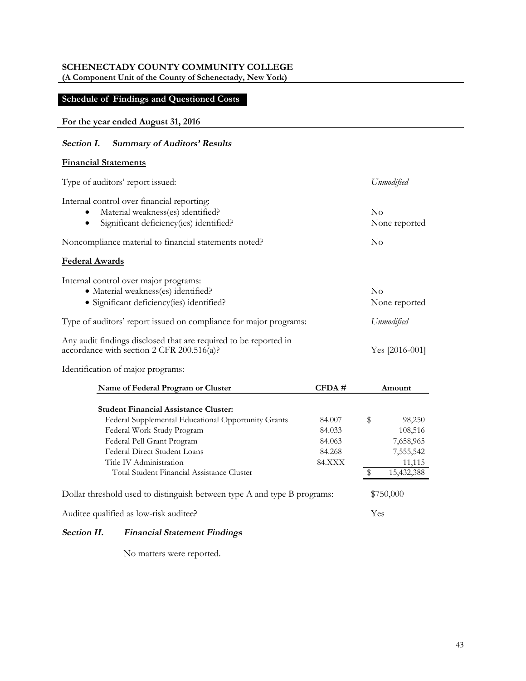**(A Component Unit of the County of Schenectady, New York)**

# **Schedule of Findings and Questioned Costs**

#### **For the year ended August 31, 2016**

## **Section I. Summary of Auditors' Results**

#### **Financial Statements**

| Type of auditors' report issued:                                                                                                                                                                                         |                                                       |           | Unmodified                                                          |  |  |
|--------------------------------------------------------------------------------------------------------------------------------------------------------------------------------------------------------------------------|-------------------------------------------------------|-----------|---------------------------------------------------------------------|--|--|
| Internal control over financial reporting:<br>Material weakness(es) identified?<br>Significant deficiency(ies) identified?                                                                                               |                                                       | $\rm No$  | None reported                                                       |  |  |
| Noncompliance material to financial statements noted?                                                                                                                                                                    |                                                       | $\rm No$  |                                                                     |  |  |
| <b>Federal Awards</b>                                                                                                                                                                                                    |                                                       |           |                                                                     |  |  |
| Internal control over major programs:<br>· Material weakness(es) identified?<br>• Significant deficiency(ies) identified?                                                                                                |                                                       | $\rm No$  | None reported                                                       |  |  |
| Type of auditors' report issued on compliance for major programs:                                                                                                                                                        |                                                       |           | Unmodified                                                          |  |  |
| Any audit findings disclosed that are required to be reported in<br>accordance with section 2 CFR 200.516(a)?                                                                                                            |                                                       |           | Yes [2016-001]                                                      |  |  |
| Identification of major programs:                                                                                                                                                                                        |                                                       |           |                                                                     |  |  |
| Name of Federal Program or Cluster                                                                                                                                                                                       | CFDA#                                                 |           | Amount                                                              |  |  |
| <b>Student Financial Assistance Cluster:</b>                                                                                                                                                                             |                                                       |           |                                                                     |  |  |
| Federal Supplemental Educational Opportunity Grants<br>Federal Work-Study Program<br>Federal Pell Grant Program<br>Federal Direct Student Loans<br>Title IV Administration<br>Total Student Financial Assistance Cluster | 84.007<br>84.033<br>84.063<br>84.268<br><b>84.XXX</b> | \$<br>\$  | 98,250<br>108,516<br>7,658,965<br>7,555,542<br>11,115<br>15,432,388 |  |  |
| Dollar threshold used to distinguish between type A and type B programs:                                                                                                                                                 |                                                       | \$750,000 |                                                                     |  |  |
| Auditee qualified as low-risk auditee?                                                                                                                                                                                   |                                                       |           | Yes                                                                 |  |  |

# **Section II. Financial Statement Findings**

No matters were reported.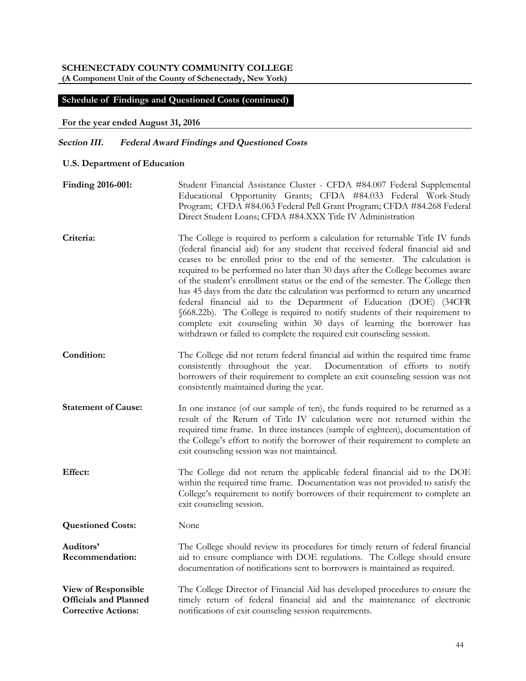**(A Component Unit of the County of Schenectady, New York)**

#### **Schedule of Findings and Questioned Costs (continued)**

#### **For the year ended August 31, 2016**

#### **Section III. Federal Award Findings and Questioned Costs**

- **U.S. Department of Education**
- **Finding 2016-001:** Student Financial Assistance Cluster CFDA #84.007 Federal Supplemental Educational Opportunity Grants; CFDA #84.033 Federal Work-Study Program; CFDA #84.063 Federal Pell Grant Program; CFDA #84.268 Federal Direct Student Loans; CFDA #84.XXX Title IV Administration **Criteria:** The College is required to perform a calculation for returnable Title IV funds
- (federal financial aid) for any student that received federal financial aid and ceases to be enrolled prior to the end of the semester. The calculation is required to be performed no later than 30 days after the College becomes aware of the student's enrollment status or the end of the semester. The College then has 45 days from the date the calculation was performed to return any unearned federal financial aid to the Department of Education (DOE) (34CFR §668.22b). The College is required to notify students of their requirement to complete exit counseling within 30 days of learning the borrower has withdrawn or failed to complete the required exit counseling session.
- Condition: The College did not return federal financial aid within the required time frame consistently throughout the year. Documentation of efforts to notify borrowers of their requirement to complete an exit counseling session was not consistently maintained during the year.
- **Statement of Cause:** In one instance (of our sample of ten), the funds required to be returned as a result of the Return of Title IV calculation were not returned within the required time frame. In three instances (sample of eighteen), documentation of the College's effort to notify the borrower of their requirement to complete an exit counseling session was not maintained.
- **Effect:** The College did not return the applicable federal financial aid to the DOE within the required time frame. Documentation was not provided to satisfy the College's requirement to notify borrowers of their requirement to complete an exit counseling session.

**Questioned Costs:** None

**Auditors' Recommendation:**

The College should review its procedures for timely return of federal financial aid to ensure compliance with DOE regulations. The College should ensure documentation of notifications sent to borrowers is maintained as required.

**View of Responsible Officials and Planned Corrective Actions:** The College Director of Financial Aid has developed procedures to ensure the timely return of federal financial aid and the maintenance of electronic notifications of exit counseling session requirements.